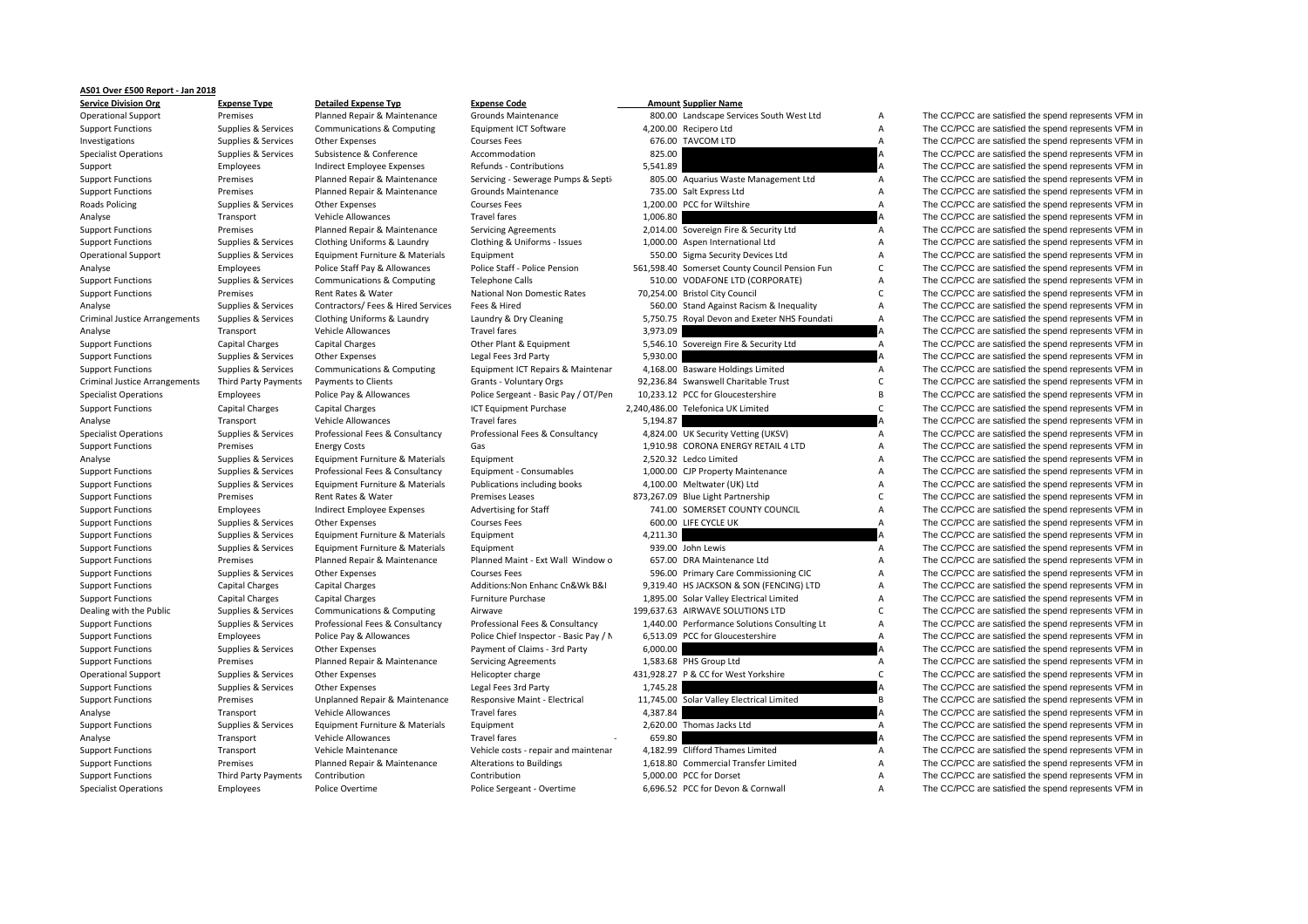## **AS01 Over £500 Report ‐ Jan 2018**

| וטופוס ווארוסופים של ה               | .                    | sctanca chpense + 1P               |                                        |          | AMOUN JUPPIN, MUML                             |                |                                                      |
|--------------------------------------|----------------------|------------------------------------|----------------------------------------|----------|------------------------------------------------|----------------|------------------------------------------------------|
| <b>Operational Support</b>           | Premises             | Planned Repair & Maintenance       | Grounds Maintenance                    |          | 800.00 Landscape Services South West Ltd       | Α              | The CC/PCC are satisfied the spend represents VFM in |
| <b>Support Functions</b>             | Supplies & Services  | Communications & Computing         | Equipment ICT Software                 |          | 4,200.00 Recipero Ltd                          | Α              | The CC/PCC are satisfied the spend represents VFM in |
| Investigations                       | Supplies & Services  | Other Expenses                     | <b>Courses Fees</b>                    |          | 676.00 TAVCOM LTD                              | $\overline{A}$ | The CC/PCC are satisfied the spend represents VFM in |
| <b>Specialist Operations</b>         | Supplies & Services  | Subsistence & Conference           | Accommodation                          | 825.00   |                                                | Α              | The CC/PCC are satisfied the spend represents VFM in |
| Support                              | Employees            | Indirect Employee Expenses         | Refunds - Contributions                | 5,541.89 |                                                |                | The CC/PCC are satisfied the spend represents VFM in |
| <b>Support Functions</b>             | Premises             | Planned Repair & Maintenance       | Servicing - Sewerage Pumps & Septi-    |          | 805.00 Aquarius Waste Management Ltd           | Α              | The CC/PCC are satisfied the spend represents VFM in |
| <b>Support Functions</b>             | Premises             | Planned Repair & Maintenance       | <b>Grounds Maintenance</b>             |          | 735.00 Salt Express Ltd                        | Α              | The CC/PCC are satisfied the spend represents VFM in |
| Roads Policing                       | Supplies & Services  | Other Expenses                     | <b>Courses Fees</b>                    |          | 1,200.00 PCC for Wiltshire                     | A              | The CC/PCC are satisfied the spend represents VFM in |
| Analyse                              | Transport            | Vehicle Allowances                 | <b>Travel fares</b>                    | 1,006.80 |                                                |                | The CC/PCC are satisfied the spend represents VFM in |
| <b>Support Functions</b>             | Premises             | Planned Repair & Maintenance       | <b>Servicing Agreements</b>            |          | 2,014.00 Sovereign Fire & Security Ltd         | Α              | The CC/PCC are satisfied the spend represents VFM in |
| <b>Support Functions</b>             | Supplies & Services  | Clothing Uniforms & Laundry        | Clothing & Uniforms - Issues           |          | 1,000.00 Aspen International Ltd               | Α              | The CC/PCC are satisfied the spend represents VFM in |
| <b>Operational Support</b>           | Supplies & Services  | Equipment Furniture & Materials    | Equipment                              |          | 550.00 Sigma Security Devices Ltd              | Α              | The CC/PCC are satisfied the spend represents VFM in |
| Analyse                              | Employees            | Police Staff Pay & Allowances      | Police Staff - Police Pension          |          | 561,598.40 Somerset County Council Pension Fun | С              | The CC/PCC are satisfied the spend represents VFM in |
| <b>Support Functions</b>             | Supplies & Services  | Communications & Computing         | <b>Telephone Calls</b>                 |          | 510.00 VODAFONE LTD (CORPORATE)                | A              | The CC/PCC are satisfied the spend represents VFM in |
| <b>Support Functions</b>             | Premises             | Rent Rates & Water                 | National Non Domestic Rates            |          | 70,254.00 Bristol City Council                 | C              | The CC/PCC are satisfied the spend represents VFM in |
| Analyse                              | Supplies & Services  | Contractors/ Fees & Hired Services | Fees & Hired                           |          | 560.00 Stand Against Racism & Inequality       | A              | The CC/PCC are satisfied the spend represents VFM in |
| <b>Criminal Justice Arrangements</b> | Supplies & Services  | Clothing Uniforms & Laundry        | Laundry & Dry Cleaning                 |          | 5,750.75 Royal Devon and Exeter NHS Foundati   | A              | The CC/PCC are satisfied the spend represents VFM in |
| Analyse                              | Transport            | Vehicle Allowances                 | <b>Travel fares</b>                    | 3,973.09 |                                                |                | The CC/PCC are satisfied the spend represents VFM in |
| <b>Support Functions</b>             | Capital Charges      | <b>Capital Charges</b>             | Other Plant & Equipment                |          | 5,546.10 Sovereign Fire & Security Ltd         | A              | The CC/PCC are satisfied the spend represents VFM in |
| <b>Support Functions</b>             | Supplies & Services  | Other Expenses                     | Legal Fees 3rd Party                   | 5,930.00 |                                                |                | The CC/PCC are satisfied the spend represents VFM in |
| <b>Support Functions</b>             | Supplies & Services  | Communications & Computing         | Equipment ICT Repairs & Maintenar      |          | 4,168.00 Basware Holdings Limited              | A              | The CC/PCC are satisfied the spend represents VFM in |
| <b>Criminal Justice Arrangements</b> | Third Party Payments | Payments to Clients                | Grants - Voluntary Orgs                |          | 92,236.84 Swanswell Charitable Trust           | C              | The CC/PCC are satisfied the spend represents VFM in |
| <b>Specialist Operations</b>         | Employees            | Police Pay & Allowances            | Police Sergeant - Basic Pay / OT/Pen   |          | 10,233.12 PCC for Gloucestershire              | B              | The CC/PCC are satisfied the spend represents VFM in |
|                                      |                      |                                    |                                        |          | 2,240,486.00 Telefonica UK Limited             | C              | The CC/PCC are satisfied the spend represents VFM in |
| <b>Support Functions</b>             | Capital Charges      | <b>Capital Charges</b>             | ICT Equipment Purchase                 |          |                                                |                |                                                      |
| Analyse                              | Transport            | Vehicle Allowances                 | <b>Travel fares</b>                    | 5,194.87 |                                                |                | The CC/PCC are satisfied the spend represents VFM in |
| <b>Specialist Operations</b>         | Supplies & Services  | Professional Fees & Consultancy    | Professional Fees & Consultancy        |          | 4,824.00 UK Security Vetting (UKSV)            | A              | The CC/PCC are satisfied the spend represents VFM in |
| <b>Support Functions</b>             | Premises             | <b>Energy Costs</b>                | Gas                                    |          | 1,910.98 CORONA ENERGY RETAIL 4 LTD            | Α              | The CC/PCC are satisfied the spend represents VFM in |
| Analyse                              | Supplies & Services  | Equipment Furniture & Materials    | Equipment                              |          | 2,520.32 Ledco Limited                         | Α              | The CC/PCC are satisfied the spend represents VFM in |
| <b>Support Functions</b>             | Supplies & Services  | Professional Fees & Consultancy    | Equipment - Consumables                |          | 1,000.00 CJP Property Maintenance              | А              | The CC/PCC are satisfied the spend represents VFM in |
| <b>Support Functions</b>             | Supplies & Services  | Equipment Furniture & Materials    | Publications including books           |          | 4,100.00 Meltwater (UK) Ltd                    | Α              | The CC/PCC are satisfied the spend represents VFM in |
| <b>Support Functions</b>             | Premises             | Rent Rates & Water                 | <b>Premises Leases</b>                 |          | 873,267.09 Blue Light Partnership              | C              | The CC/PCC are satisfied the spend represents VFM in |
| <b>Support Functions</b>             | Employees            | Indirect Employee Expenses         | <b>Advertising for Staff</b>           |          | 741.00 SOMERSET COUNTY COUNCIL                 | А              | The CC/PCC are satisfied the spend represents VFM in |
| <b>Support Functions</b>             | Supplies & Services  | Other Expenses                     | <b>Courses Fees</b>                    |          | 600.00 LIFE CYCLE UK                           | Α              | The CC/PCC are satisfied the spend represents VFM in |
| <b>Support Functions</b>             | Supplies & Services  | Equipment Furniture & Materials    | Equipment                              | 4,211.30 |                                                |                | The CC/PCC are satisfied the spend represents VFM in |
| <b>Support Functions</b>             | Supplies & Services  | Equipment Furniture & Materials    | Equipment                              |          | 939.00 John Lewis                              | A              | The CC/PCC are satisfied the spend represents VFM in |
| <b>Support Functions</b>             | Premises             | Planned Repair & Maintenance       | Planned Maint - Ext Wall Window o      |          | 657.00 DRA Maintenance Ltd                     | A              | The CC/PCC are satisfied the spend represents VFM in |
| <b>Support Functions</b>             | Supplies & Services  | <b>Other Expenses</b>              | <b>Courses Fees</b>                    |          | 596.00 Primary Care Commissioning CIC          | Α              | The CC/PCC are satisfied the spend represents VFM in |
| <b>Support Functions</b>             | Capital Charges      | <b>Capital Charges</b>             | Additions: Non Enhanc Cn&Wk B&I        |          | 9,319.40 HS JACKSON & SON (FENCING) LTD        | Α              | The CC/PCC are satisfied the spend represents VFM in |
| <b>Support Functions</b>             | Capital Charges      | Capital Charges                    | Furniture Purchase                     |          | 1,895.00 Solar Valley Electrical Limited       | Α              | The CC/PCC are satisfied the spend represents VFM in |
| Dealing with the Public              | Supplies & Services  | Communications & Computing         | Airwave                                |          | 199,637.63 AIRWAVE SOLUTIONS LTD               | C              | The CC/PCC are satisfied the spend represents VFM in |
| <b>Support Functions</b>             | Supplies & Services  | Professional Fees & Consultancy    | Professional Fees & Consultancy        |          | 1,440.00 Performance Solutions Consulting Lt   | Α              | The CC/PCC are satisfied the spend represents VFM in |
| <b>Support Functions</b>             | Employees            | Police Pay & Allowances            | Police Chief Inspector - Basic Pay / N |          | 6,513.09 PCC for Gloucestershire               | A              | The CC/PCC are satisfied the spend represents VFM in |
| <b>Support Functions</b>             | Supplies & Services  | Other Expenses                     | Payment of Claims - 3rd Party          | 6,000.00 |                                                |                | The CC/PCC are satisfied the spend represents VFM in |
| <b>Support Functions</b>             | Premises             | Planned Repair & Maintenance       | <b>Servicing Agreements</b>            |          | 1,583.68 PHS Group Ltd                         | $\mathsf{A}$   | The CC/PCC are satisfied the spend represents VFM in |
| <b>Operational Support</b>           | Supplies & Services  | <b>Other Expenses</b>              | Helicopter charge                      |          | 431,928.27 P & CC for West Yorkshire           | $\mathsf{C}$   | The CC/PCC are satisfied the spend represents VFM in |
| <b>Support Functions</b>             | Supplies & Services  | <b>Other Expenses</b>              | Legal Fees 3rd Party                   | 1,745.28 |                                                |                | The CC/PCC are satisfied the spend represents VFM in |
| <b>Support Functions</b>             | Premises             | Unplanned Repair & Maintenance     | Responsive Maint - Electrical          |          | 11,745.00 Solar Valley Electrical Limited      | B              | The CC/PCC are satisfied the spend represents VFM in |
| Analyse                              | Transport            | Vehicle Allowances                 | <b>Travel fares</b>                    | 4,387.84 |                                                |                | The CC/PCC are satisfied the spend represents VFM in |
| <b>Support Functions</b>             | Supplies & Services  | Equipment Furniture & Materials    | Equipment                              |          | 2,620.00 Thomas Jacks Ltd                      | $\overline{A}$ | The CC/PCC are satisfied the spend represents VFM in |
| Analyse                              | Transport            | Vehicle Allowances                 | <b>Travel fares</b>                    | 659.80   |                                                |                | The CC/PCC are satisfied the spend represents VFM in |
| <b>Support Functions</b>             | Transport            | Vehicle Maintenance                | Vehicle costs - repair and maintenar   |          | 4,182.99 Clifford Thames Limited               | Α              | The CC/PCC are satisfied the spend represents VFM in |
| <b>Support Functions</b>             | Premises             | Planned Repair & Maintenance       | <b>Alterations to Buildings</b>        |          | 1,618.80 Commercial Transfer Limited           | A              | The CC/PCC are satisfied the spend represents VFM in |
| <b>Support Functions</b>             | Third Party Payments | Contribution                       | Contribution                           |          | 5,000.00 PCC for Dorset                        | A              | The CC/PCC are satisfied the spend represents VFM in |
| <b>Specialist Operations</b>         | <b>Employees</b>     | Police Overtime                    | Police Sergeant - Overtime             |          | 6.696.52 PCC for Devon & Cornwall              |                | The CC/PCC are satisfied the spend represents VEM in |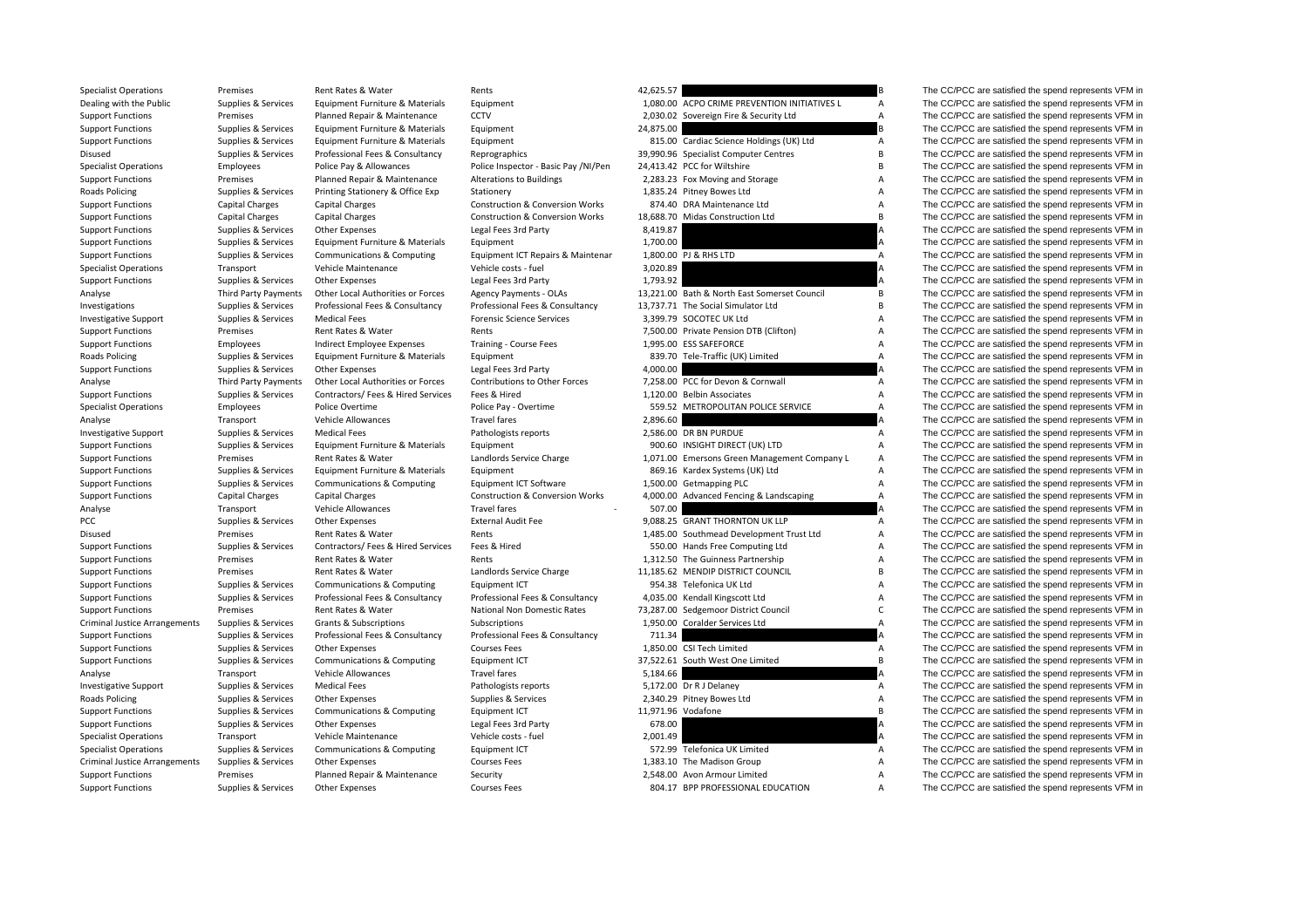| <b>Specialist Operations</b>         | Premises             | Rent Rates & Water                 | Rents                                      | 42,625.57          |                                              |                | The CC/PCC are satisfied the spend represents VFM in |
|--------------------------------------|----------------------|------------------------------------|--------------------------------------------|--------------------|----------------------------------------------|----------------|------------------------------------------------------|
| Dealing with the Public              | Supplies & Services  | Equipment Furniture & Materials    | Equipment                                  |                    | 1,080.00 ACPO CRIME PREVENTION INITIATIVES L | A              | The CC/PCC are satisfied the spend represents VFM in |
| <b>Support Functions</b>             | Premises             | Planned Repair & Maintenance       | <b>CCTV</b>                                |                    | 2,030.02 Sovereign Fire & Security Ltd       | Α              | The CC/PCC are satisfied the spend represents VFM in |
| <b>Support Functions</b>             | Supplies & Services  | Equipment Furniture & Materials    | Equipment                                  | 24,875.00          |                                              |                | The CC/PCC are satisfied the spend represents VFM in |
| <b>Support Functions</b>             | Supplies & Services  | Equipment Furniture & Materials    | Equipment                                  |                    | 815.00 Cardiac Science Holdings (UK) Ltd     | Α              | The CC/PCC are satisfied the spend represents VFM in |
| Disused                              | Supplies & Services  | Professional Fees & Consultancy    | Reprographics                              |                    | 39,990.96 Specialist Computer Centres        | B              | The CC/PCC are satisfied the spend represents VFM in |
| <b>Specialist Operations</b>         | Employees            | Police Pay & Allowances            | Police Inspector - Basic Pay /NI/Pen       |                    | 24,413.42 PCC for Wiltshire                  | B              | The CC/PCC are satisfied the spend represents VFM in |
| <b>Support Functions</b>             | Premises             | Planned Repair & Maintenance       | Alterations to Buildings                   |                    | 2,283.23 Fox Moving and Storage              | A              | The CC/PCC are satisfied the spend represents VFM in |
| Roads Policing                       | Supplies & Services  | Printing Stationery & Office Exp   | Stationery                                 |                    | 1,835.24 Pitney Bowes Ltd                    | А              | The CC/PCC are satisfied the spend represents VFM in |
| <b>Support Functions</b>             | Capital Charges      | <b>Capital Charges</b>             | <b>Construction &amp; Conversion Works</b> |                    | 874.40 DRA Maintenance Ltd                   | А              | The CC/PCC are satisfied the spend represents VFM in |
| <b>Support Functions</b>             | Capital Charges      | <b>Capital Charges</b>             | <b>Construction &amp; Conversion Works</b> |                    | 18.688.70 Midas Construction Ltd             | B              | The CC/PCC are satisfied the spend represents VFM in |
| <b>Support Functions</b>             | Supplies & Services  | Other Expenses                     | Legal Fees 3rd Party                       | 8,419.87           |                                              |                | The CC/PCC are satisfied the spend represents VFM in |
| <b>Support Functions</b>             | Supplies & Services  | Equipment Furniture & Materials    | Equipment                                  | 1,700.00           |                                              |                | The CC/PCC are satisfied the spend represents VFM in |
| <b>Support Functions</b>             | Supplies & Services  | Communications & Computing         | Equipment ICT Repairs & Maintenar          |                    | 1,800.00 PJ & RHS LTD                        | $\overline{A}$ | The CC/PCC are satisfied the spend represents VFM in |
| <b>Specialist Operations</b>         | Transport            | Vehicle Maintenance                | Vehicle costs - fuel                       | 3,020.89           |                                              |                | The CC/PCC are satisfied the spend represents VFM in |
| <b>Support Functions</b>             | Supplies & Services  | <b>Other Expenses</b>              | Legal Fees 3rd Party                       | 1,793.92           |                                              |                | The CC/PCC are satisfied the spend represents VFM in |
| Analyse                              | Third Party Payments | Other Local Authorities or Forces  | Agency Payments - OLAs                     |                    | 13,221.00 Bath & North East Somerset Council | В              | The CC/PCC are satisfied the spend represents VFM in |
| Investigations                       | Supplies & Services  | Professional Fees & Consultancy    | Professional Fees & Consultancy            |                    | 13.737.71 The Social Simulator Ltd           | B              | The CC/PCC are satisfied the spend represents VFM in |
| Investigative Support                | Supplies & Services  | <b>Medical Fees</b>                | <b>Forensic Science Services</b>           |                    | 3,399.79 SOCOTEC UK Ltd                      | А              | The CC/PCC are satisfied the spend represents VFM in |
| <b>Support Functions</b>             | Premises             | Rent Rates & Water                 | Rents                                      |                    | 7,500.00 Private Pension DTB (Clifton)       | Α              | The CC/PCC are satisfied the spend represents VFM in |
| <b>Support Functions</b>             | Employees            | Indirect Employee Expenses         | Training - Course Fees                     |                    | 1,995.00 ESS SAFEFORCE                       | Α              | The CC/PCC are satisfied the spend represents VFM in |
| Roads Policing                       | Supplies & Services  | Equipment Furniture & Materials    | Equipment                                  |                    | 839.70 Tele-Traffic (UK) Limited             | Α              | The CC/PCC are satisfied the spend represents VFM in |
| <b>Support Functions</b>             | Supplies & Services  | <b>Other Expenses</b>              | Legal Fees 3rd Party                       | 4,000.00           |                                              |                | The CC/PCC are satisfied the spend represents VFM in |
| Analyse                              | Third Party Payments | Other Local Authorities or Forces  | Contributions to Other Forces              |                    | 7,258.00 PCC for Devon & Cornwall            | A              | The CC/PCC are satisfied the spend represents VFM in |
| <b>Support Functions</b>             | Supplies & Services  | Contractors/ Fees & Hired Services | Fees & Hired                               |                    | 1,120.00 Belbin Associates                   | Α              | The CC/PCC are satisfied the spend represents VFM in |
| <b>Specialist Operations</b>         | Employees            | Police Overtime                    | Police Pay - Overtime                      |                    | 559.52 METROPOLITAN POLICE SERVICE           | Α              | The CC/PCC are satisfied the spend represents VFM in |
| Analyse                              | Transport            | Vehicle Allowances                 | <b>Travel fares</b>                        | 2,896.60           |                                              |                | The CC/PCC are satisfied the spend represents VFM in |
| <b>Investigative Support</b>         | Supplies & Services  | <b>Medical Fees</b>                | Pathologists reports                       |                    | 2,586.00 DR BN PURDUE                        | $\mathsf{A}$   | The CC/PCC are satisfied the spend represents VFM in |
| <b>Support Functions</b>             | Supplies & Services  | Equipment Furniture & Materials    | Equipment                                  |                    | 900.60 INSIGHT DIRECT (UK) LTD               | A              | The CC/PCC are satisfied the spend represents VFM in |
| <b>Support Functions</b>             | Premises             | Rent Rates & Water                 | Landlords Service Charge                   |                    | 1,071.00 Emersons Green Management Company L | А              | The CC/PCC are satisfied the spend represents VFM in |
| <b>Support Functions</b>             | Supplies & Services  | Equipment Furniture & Materials    | Equipment                                  |                    | 869.16 Kardex Systems (UK) Ltd               | А              | The CC/PCC are satisfied the spend represents VFM in |
| <b>Support Functions</b>             | Supplies & Services  | Communications & Computing         | Equipment ICT Software                     |                    | 1,500.00 Getmapping PLC                      | $\overline{A}$ | The CC/PCC are satisfied the spend represents VFM in |
| <b>Support Functions</b>             | Capital Charges      | <b>Capital Charges</b>             | <b>Construction &amp; Conversion Works</b> |                    | 4,000.00 Advanced Fencing & Landscaping      | $\overline{A}$ | The CC/PCC are satisfied the spend represents VFM in |
| Analyse                              | Transport            | Vehicle Allowances                 | <b>Travel fares</b>                        | 507.00             |                                              |                | The CC/PCC are satisfied the spend represents VFM in |
| PCC                                  | Supplies & Services  | Other Expenses                     | <b>External Audit Fee</b>                  |                    | 9,088.25 GRANT THORNTON UK LLP               | $\overline{A}$ | The CC/PCC are satisfied the spend represents VFM in |
| Disused                              | Premises             | Rent Rates & Water                 | Rents                                      |                    | 1,485.00 Southmead Development Trust Ltd     | A              | The CC/PCC are satisfied the spend represents VFM in |
| <b>Support Functions</b>             | Supplies & Services  | Contractors/ Fees & Hired Services | Fees & Hired                               |                    | 550.00 Hands Free Computing Ltd              | A              | The CC/PCC are satisfied the spend represents VFM in |
| <b>Support Functions</b>             | Premises             | Rent Rates & Water                 | Rents                                      |                    | 1,312.50 The Guinness Partnership            | Α              | The CC/PCC are satisfied the spend represents VFM in |
| <b>Support Functions</b>             | Premises             | Rent Rates & Water                 | Landlords Service Charge                   |                    | 11,185.62 MENDIP DISTRICT COUNCIL            | B              | The CC/PCC are satisfied the spend represents VFM in |
| <b>Support Functions</b>             | Supplies & Services  | Communications & Computing         | Equipment ICT                              |                    | 954.38 Telefonica UK Ltd                     | Α              | The CC/PCC are satisfied the spend represents VFM in |
| <b>Support Functions</b>             | Supplies & Services  | Professional Fees & Consultancy    | Professional Fees & Consultancy            |                    | 4,035.00 Kendall Kingscott Ltd               | А              | The CC/PCC are satisfied the spend represents VFM in |
| <b>Support Functions</b>             | Premises             | Rent Rates & Water                 | National Non Domestic Rates                |                    | 73,287.00 Sedgemoor District Council         | C              | The CC/PCC are satisfied the spend represents VFM in |
| Criminal Justice Arrangements        | Supplies & Services  | <b>Grants &amp; Subscriptions</b>  | Subscriptions                              |                    | 1,950.00 Coralder Services Ltd               | A              | The CC/PCC are satisfied the spend represents VFM in |
| <b>Support Functions</b>             | Supplies & Services  | Professional Fees & Consultancy    | Professional Fees & Consultancy            | 711.34             |                                              |                | The CC/PCC are satisfied the spend represents VFM in |
| <b>Support Functions</b>             | Supplies & Services  | <b>Other Expenses</b>              | <b>Courses Fees</b>                        |                    | 1,850.00 CSI Tech Limited                    | A              | The CC/PCC are satisfied the spend represents VFM in |
| <b>Support Functions</b>             | Supplies & Services  | Communications & Computing         | Equipment ICT                              |                    | 37,522.61 South West One Limited             | B              | The CC/PCC are satisfied the spend represents VFM in |
| Analyse                              | Transport            | Vehicle Allowances                 | <b>Travel fares</b>                        | 5,184.66           |                                              |                | The CC/PCC are satisfied the spend represents VFM in |
| <b>Investigative Support</b>         | Supplies & Services  | <b>Medical Fees</b>                | Pathologists reports                       |                    | 5,172.00 Dr R J Delaney                      | Α              | The CC/PCC are satisfied the spend represents VFM in |
| Roads Policing                       | Supplies & Services  | <b>Other Expenses</b>              | Supplies & Services                        |                    | 2,340.29 Pitney Bowes Ltd                    | Α              | The CC/PCC are satisfied the spend represents VFM in |
| <b>Support Functions</b>             | Supplies & Services  | Communications & Computing         | Equipment ICT                              | 11,971.96 Vodafone |                                              | B              | The CC/PCC are satisfied the spend represents VFM in |
| <b>Support Functions</b>             | Supplies & Services  | <b>Other Expenses</b>              | Legal Fees 3rd Party                       | 678.00             |                                              | А              | The CC/PCC are satisfied the spend represents VFM in |
| <b>Specialist Operations</b>         | Transport            | Vehicle Maintenance                | Vehicle costs - fuel                       | 2,001.49           |                                              |                | The CC/PCC are satisfied the spend represents VFM in |
| <b>Specialist Operations</b>         | Supplies & Services  | Communications & Computing         | <b>Equipment ICT</b>                       |                    | 572.99 Telefonica UK Limited                 | $\overline{A}$ | The CC/PCC are satisfied the spend represents VFM in |
| <b>Criminal Justice Arrangements</b> | Supplies & Services  | <b>Other Expenses</b>              | <b>Courses Fees</b>                        |                    | 1.383.10 The Madison Group                   | A              | The CC/PCC are satisfied the spend represents VFM in |
| <b>Support Functions</b>             | Premises             | Planned Repair & Maintenance       | Security                                   |                    | 2.548.00 Avon Armour Limited                 | $\overline{A}$ | The CC/PCC are satisfied the spend represents VFM in |
|                                      |                      |                                    |                                            |                    |                                              |                |                                                      |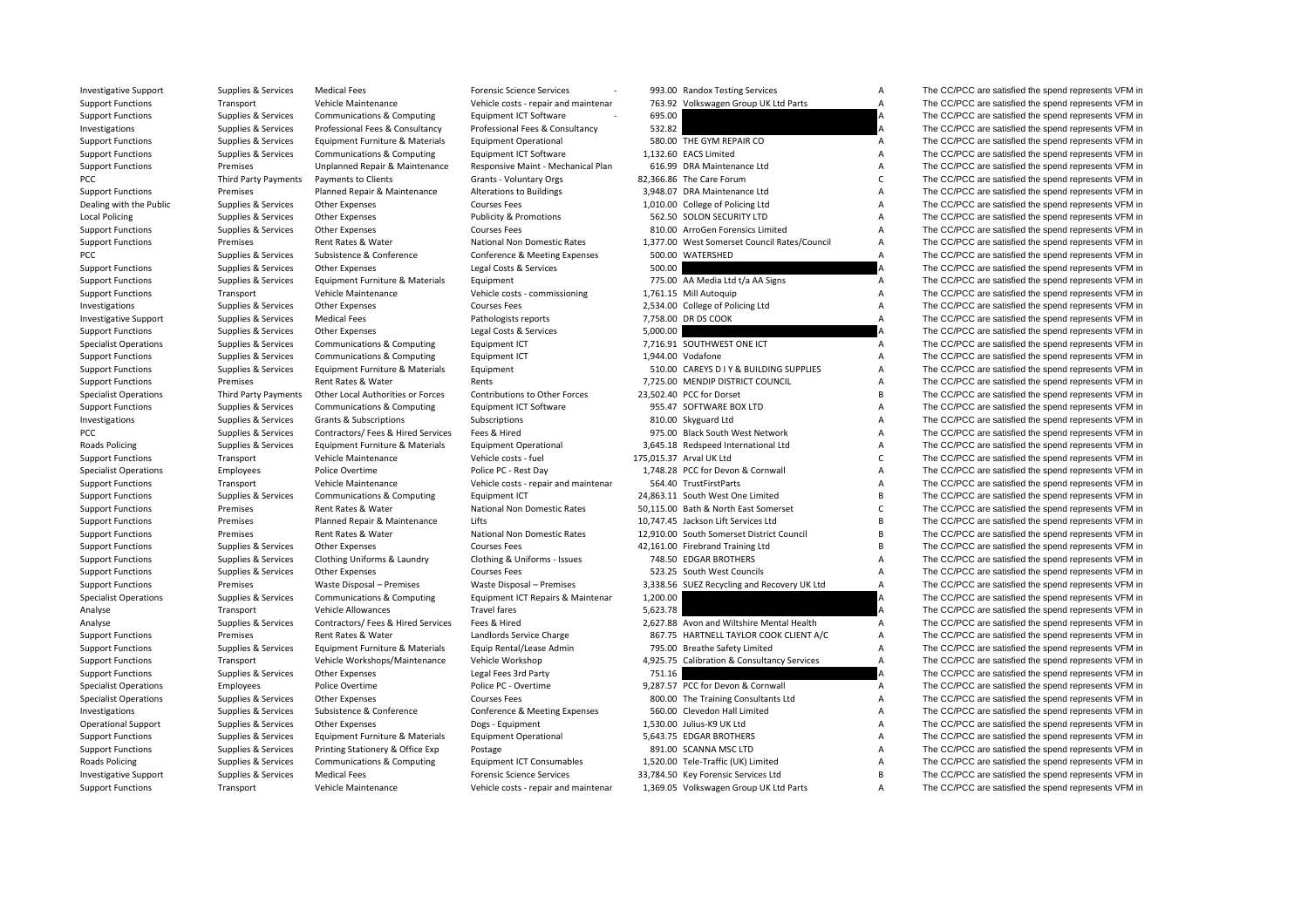| <b>Investigative Support</b> | Supplies & Services  | <b>Medical Fees</b>                   | <b>Forensic Science Services</b>     |          | 993.00 Randox Testing Services               | A              | The CC/PCC are satisfied the spend represents VFM in |
|------------------------------|----------------------|---------------------------------------|--------------------------------------|----------|----------------------------------------------|----------------|------------------------------------------------------|
| <b>Support Functions</b>     | Transport            | Vehicle Maintenance                   | Vehicle costs - repair and maintenar |          | 763.92 Volkswagen Group UK Ltd Parts         | A              | The CC/PCC are satisfied the spend represents VFM in |
| <b>Support Functions</b>     | Supplies & Services  | <b>Communications &amp; Computing</b> | Equipment ICT Software               | 695.00   |                                              |                | The CC/PCC are satisfied the spend represents VFM in |
| Investigations               | Supplies & Services  | Professional Fees & Consultancy       | Professional Fees & Consultancy      | 532.82   |                                              | A              | The CC/PCC are satisfied the spend represents VFM in |
| <b>Support Functions</b>     | Supplies & Services  | Equipment Furniture & Materials       | <b>Equipment Operational</b>         |          | 580.00 THE GYM REPAIR CO                     | Α              | The CC/PCC are satisfied the spend represents VFM in |
| <b>Support Functions</b>     | Supplies & Services  | Communications & Computing            | Equipment ICT Software               |          | 1,132.60 EACS Limited                        | Α              | The CC/PCC are satisfied the spend represents VFM in |
| <b>Support Functions</b>     | Premises             | Unplanned Repair & Maintenance        | Responsive Maint - Mechanical Plan   |          | 616.99 DRA Maintenance Ltd                   | Α              | The CC/PCC are satisfied the spend represents VFM in |
| PCC                          | Third Party Payments | Payments to Clients                   | Grants - Voluntary Orgs              |          | 82,366.86 The Care Forum                     | C              | The CC/PCC are satisfied the spend represents VFM in |
| <b>Support Functions</b>     | Premises             | Planned Repair & Maintenance          | Alterations to Buildings             |          | 3,948.07 DRA Maintenance Ltd                 | A              | The CC/PCC are satisfied the spend represents VFM in |
| Dealing with the Public      | Supplies & Services  | Other Expenses                        | <b>Courses Fees</b>                  |          | 1,010.00 College of Policing Ltd             | Α              | The CC/PCC are satisfied the spend represents VFM in |
| <b>Local Policing</b>        | Supplies & Services  | <b>Other Expenses</b>                 | <b>Publicity &amp; Promotions</b>    |          | 562.50 SOLON SECURITY LTD                    | Α              | The CC/PCC are satisfied the spend represents VFM in |
| <b>Support Functions</b>     | Supplies & Services  | <b>Other Expenses</b>                 | <b>Courses Fees</b>                  |          | 810.00 ArroGen Forensics Limited             | $\overline{A}$ | The CC/PCC are satisfied the spend represents VFM in |
| <b>Support Functions</b>     | Premises             | Rent Rates & Water                    | National Non Domestic Rates          |          | 1,377.00 West Somerset Council Rates/Council | А              | The CC/PCC are satisfied the spend represents VFM in |
| PCC                          | Supplies & Services  | Subsistence & Conference              | Conference & Meeting Expenses        |          | 500.00 WATERSHED                             | A              | The CC/PCC are satisfied the spend represents VFM in |
| <b>Support Functions</b>     | Supplies & Services  | Other Expenses                        | Legal Costs & Services               | 500.00   |                                              |                | The CC/PCC are satisfied the spend represents VFM in |
| <b>Support Functions</b>     | Supplies & Services  | Equipment Furniture & Materials       | Equipment                            |          | 775.00 AA Media Ltd t/a AA Signs             | A              | The CC/PCC are satisfied the spend represents VFM in |
| <b>Support Functions</b>     | Transport            | Vehicle Maintenance                   | Vehicle costs - commissioning        |          | 1,761.15 Mill Autoquip                       | Α              | The CC/PCC are satisfied the spend represents VFM in |
| Investigations               | Supplies & Services  | <b>Other Expenses</b>                 | <b>Courses Fees</b>                  |          | 2,534.00 College of Policing Ltd             | А              | The CC/PCC are satisfied the spend represents VFM in |
| Investigative Support        | Supplies & Services  | <b>Medical Fees</b>                   | Pathologists reports                 |          | 7,758.00 DR DS COOK                          | Α              | The CC/PCC are satisfied the spend represents VFM in |
| <b>Support Functions</b>     | Supplies & Services  | <b>Other Expenses</b>                 | Legal Costs & Services               | 5,000.00 |                                              |                | The CC/PCC are satisfied the spend represents VFM in |
| <b>Specialist Operations</b> | Supplies & Services  | Communications & Computing            | Equipment ICT                        |          | 7,716.91 SOUTHWEST ONE ICT                   | А              | The CC/PCC are satisfied the spend represents VFM in |
|                              |                      |                                       |                                      |          | 1,944.00 Vodafone                            | Α              | The CC/PCC are satisfied the spend represents VFM in |
| <b>Support Functions</b>     | Supplies & Services  | Communications & Computing            | Equipment ICT                        |          | 510.00 CAREYS D I Y & BUILDING SUPPLIES      | $\overline{A}$ | The CC/PCC are satisfied the spend represents VFM in |
| <b>Support Functions</b>     | Supplies & Services  | Equipment Furniture & Materials       | Equipment                            |          |                                              |                |                                                      |
| <b>Support Functions</b>     | Premises             | Rent Rates & Water                    | Rents                                |          | 7.725.00 MENDIP DISTRICT COUNCIL             | А<br>B         | The CC/PCC are satisfied the spend represents VFM in |
| <b>Specialist Operations</b> | Third Party Payments | Other Local Authorities or Forces     | Contributions to Other Forces        |          | 23,502.40 PCC for Dorset                     |                | The CC/PCC are satisfied the spend represents VFM in |
| <b>Support Functions</b>     | Supplies & Services  | Communications & Computing            | Equipment ICT Software               |          | 955.47 SOFTWARE BOX LTD                      | A              | The CC/PCC are satisfied the spend represents VFM in |
| Investigations               | Supplies & Services  | <b>Grants &amp; Subscriptions</b>     | Subscriptions                        |          | 810.00 Skyguard Ltd                          | А              | The CC/PCC are satisfied the spend represents VFM in |
| PCC                          | Supplies & Services  | Contractors/ Fees & Hired Services    | Fees & Hired                         |          | 975.00 Black South West Network              | A              | The CC/PCC are satisfied the spend represents VFM in |
| Roads Policing               | Supplies & Services  | Equipment Furniture & Materials       | <b>Equipment Operational</b>         |          | 3,645.18 Redspeed International Ltd          | A              | The CC/PCC are satisfied the spend represents VFM in |
| <b>Support Functions</b>     | Transport            | Vehicle Maintenance                   | Vehicle costs - fuel                 |          | 175,015.37 Arval UK Ltd                      | C              | The CC/PCC are satisfied the spend represents VFM in |
| <b>Specialist Operations</b> | Employees            | Police Overtime                       | Police PC - Rest Day                 |          | 1,748.28 PCC for Devon & Cornwall            | A              | The CC/PCC are satisfied the spend represents VFM in |
| <b>Support Functions</b>     | Transport            | Vehicle Maintenance                   | Vehicle costs - repair and maintenar |          | 564.40 TrustFirstParts                       | Α              | The CC/PCC are satisfied the spend represents VFM in |
| <b>Support Functions</b>     | Supplies & Services  | Communications & Computing            | Equipment ICT                        |          | 24,863.11 South West One Limited             | B              | The CC/PCC are satisfied the spend represents VFM in |
| <b>Support Functions</b>     | Premises             | Rent Rates & Water                    | <b>National Non Domestic Rates</b>   |          | 50.115.00 Bath & North East Somerset         | $\mathsf{C}$   | The CC/PCC are satisfied the spend represents VFM in |
| <b>Support Functions</b>     | Premises             | Planned Repair & Maintenance          | Lifts                                |          | 10,747.45 Jackson Lift Services Ltd          | B              | The CC/PCC are satisfied the spend represents VFM in |
| <b>Support Functions</b>     | Premises             | Rent Rates & Water                    | National Non Domestic Rates          |          | 12,910.00 South Somerset District Council    | B              | The CC/PCC are satisfied the spend represents VFM in |
| <b>Support Functions</b>     | Supplies & Services  | <b>Other Expenses</b>                 | <b>Courses Fees</b>                  |          | 42,161.00 Firebrand Training Ltd             | B              | The CC/PCC are satisfied the spend represents VFM in |
| <b>Support Functions</b>     | Supplies & Services  | Clothing Uniforms & Laundry           | Clothing & Uniforms - Issues         |          | 748.50 EDGAR BROTHERS                        | A              | The CC/PCC are satisfied the spend represents VFM in |
| <b>Support Functions</b>     | Supplies & Services  | <b>Other Expenses</b>                 | <b>Courses Fees</b>                  |          | 523.25 South West Councils                   | Α              | The CC/PCC are satisfied the spend represents VFM in |
| <b>Support Functions</b>     | Premises             | Waste Disposal - Premises             | Waste Disposal - Premises            |          | 3,338.56 SUEZ Recycling and Recovery UK Ltd  | $\overline{A}$ | The CC/PCC are satisfied the spend represents VFM in |
| <b>Specialist Operations</b> | Supplies & Services  | Communications & Computing            | Equipment ICT Repairs & Maintenar    | 1,200.00 |                                              | А              | The CC/PCC are satisfied the spend represents VFM in |
| Analyse                      | Transport            | Vehicle Allowances                    | <b>Travel fares</b>                  | 5,623.78 |                                              |                | The CC/PCC are satisfied the spend represents VFM in |
| Analyse                      | Supplies & Services  | Contractors/ Fees & Hired Services    | Fees & Hired                         |          | 2,627.88 Avon and Wiltshire Mental Health    | А              | The CC/PCC are satisfied the spend represents VFM in |
| <b>Support Functions</b>     | Premises             | Rent Rates & Water                    | Landlords Service Charge             |          | 867.75 HARTNELL TAYLOR COOK CLIENT A/C       | Α              | The CC/PCC are satisfied the spend represents VFM in |
| <b>Support Functions</b>     | Supplies & Services  | Equipment Furniture & Materials       | Equip Rental/Lease Admin             |          | 795.00 Breathe Safety Limited                | A              | The CC/PCC are satisfied the spend represents VFM in |
| <b>Support Functions</b>     | Transport            | Vehicle Workshops/Maintenance         | Vehicle Workshop                     |          | 4,925.75 Calibration & Consultancy Services  | $\overline{A}$ | The CC/PCC are satisfied the spend represents VFM in |
| <b>Support Functions</b>     | Supplies & Services  | Other Expenses                        | Legal Fees 3rd Party                 | 751.16   |                                              |                | The CC/PCC are satisfied the spend represents VFM in |
| <b>Specialist Operations</b> | Employees            | Police Overtime                       | Police PC - Overtime                 |          | 9,287.57 PCC for Devon & Cornwall            | A              | The CC/PCC are satisfied the spend represents VFM in |
| <b>Specialist Operations</b> | Supplies & Services  | <b>Other Expenses</b>                 | <b>Courses Fees</b>                  |          | 800.00 The Training Consultants Ltd          | A              | The CC/PCC are satisfied the spend represents VFM in |
| Investigations               | Supplies & Services  | Subsistence & Conference              | Conference & Meeting Expenses        |          | 560.00 Clevedon Hall Limited                 | A              | The CC/PCC are satisfied the spend represents VFM in |
| <b>Operational Support</b>   | Supplies & Services  | <b>Other Expenses</b>                 | Dogs - Equipment                     |          | 1,530.00 Julius-K9 UK Ltd                    | Α              | The CC/PCC are satisfied the spend represents VFM in |
| <b>Support Functions</b>     | Supplies & Services  | Equipment Furniture & Materials       | <b>Equipment Operational</b>         |          | 5,643.75 EDGAR BROTHERS                      | A              | The CC/PCC are satisfied the spend represents VFM in |
| <b>Support Functions</b>     | Supplies & Services  | Printing Stationery & Office Exp      | Postage                              |          | 891.00 SCANNA MSC LTD                        | Α              | The CC/PCC are satisfied the spend represents VFM in |
| Roads Policing               | Supplies & Services  | Communications & Computing            | <b>Equipment ICT Consumables</b>     |          | 1,520.00 Tele-Traffic (UK) Limited           | A              | The CC/PCC are satisfied the spend represents VFM in |
| <b>Investigative Support</b> | Supplies & Services  | <b>Medical Fees</b>                   | <b>Forensic Science Services</b>     |          | 33,784.50 Key Forensic Services Ltd          | B              | The CC/PCC are satisfied the spend represents VFM in |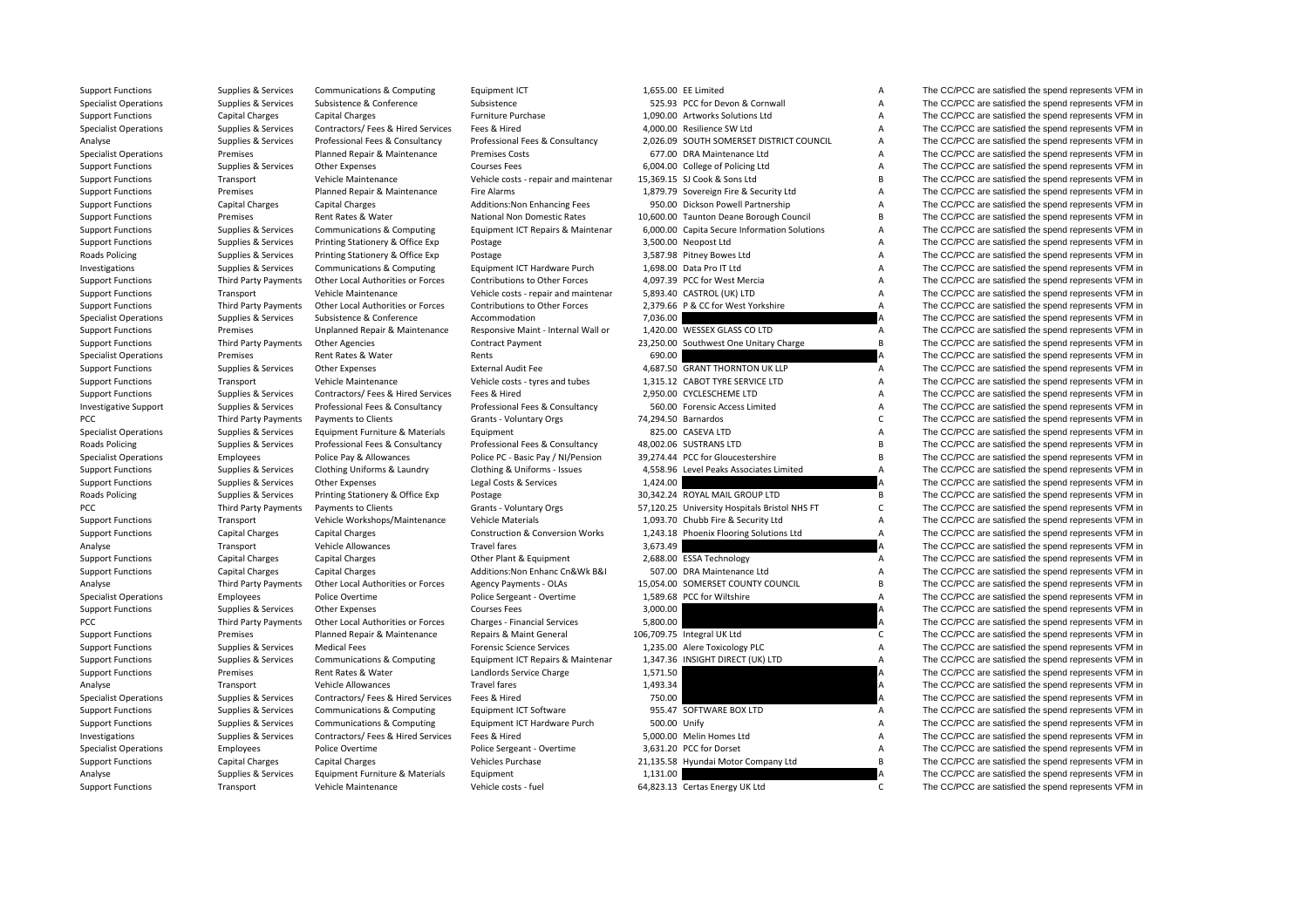| Support Functions            | Supplies & Services    | Communications & Computing            | Equipment ICI                              | 1,655.00 EE LIMITED                           | A              | The CC/PCC are satisfied the spend represents VFM in |
|------------------------------|------------------------|---------------------------------------|--------------------------------------------|-----------------------------------------------|----------------|------------------------------------------------------|
| <b>Specialist Operations</b> | Supplies & Services    | Subsistence & Conference              | Subsistence                                | 525.93 PCC for Devon & Cornwall               | Α              | The CC/PCC are satisfied the spend represents VFM in |
| <b>Support Functions</b>     | <b>Capital Charges</b> | <b>Capital Charges</b>                | Furniture Purchase                         | 1,090.00 Artworks Solutions Ltd               | Α              | The CC/PCC are satisfied the spend represents VFM in |
| <b>Specialist Operations</b> | Supplies & Services    | Contractors/ Fees & Hired Services    | Fees & Hired                               | 4,000.00 Resilience SW Ltd                    | A              | The CC/PCC are satisfied the spend represents VFM in |
| Analyse                      | Supplies & Services    | Professional Fees & Consultancy       | Professional Fees & Consultancy            | 2,026.09 SOUTH SOMERSET DISTRICT COUNCIL      | Α              | The CC/PCC are satisfied the spend represents VFM in |
| <b>Specialist Operations</b> | Premises               | Planned Repair & Maintenance          | <b>Premises Costs</b>                      | 677.00 DRA Maintenance Ltd                    | А              | The CC/PCC are satisfied the spend represents VFM in |
| <b>Support Functions</b>     | Supplies & Services    | <b>Other Expenses</b>                 | <b>Courses Fees</b>                        | 6,004.00 College of Policing Ltd              | Α              | The CC/PCC are satisfied the spend represents VFM in |
| <b>Support Functions</b>     | Transport              | Vehicle Maintenance                   | Vehicle costs - repair and maintenar       | 15,369.15 SJ Cook & Sons Ltd                  | B              | The CC/PCC are satisfied the spend represents VFM in |
| <b>Support Functions</b>     | Premises               | Planned Repair & Maintenance          | <b>Fire Alarms</b>                         | 1,879.79 Sovereign Fire & Security Ltd        | A              | The CC/PCC are satisfied the spend represents VFM in |
| <b>Support Functions</b>     | <b>Capital Charges</b> | <b>Capital Charges</b>                | Additions: Non Enhancing Fees              | 950.00 Dickson Powell Partnership             | A              | The CC/PCC are satisfied the spend represents VFM in |
| <b>Support Functions</b>     | Premises               | Rent Rates & Water                    | National Non Domestic Rates                | 10,600.00 Taunton Deane Borough Council       | B              | The CC/PCC are satisfied the spend represents VFM in |
| <b>Support Functions</b>     | Supplies & Services    | Communications & Computing            | Equipment ICT Repairs & Maintenar          | 6,000.00 Capita Secure Information Solutions  | A              | The CC/PCC are satisfied the spend represents VFM in |
| <b>Support Functions</b>     | Supplies & Services    | Printing Stationery & Office Exp      | Postage                                    | 3,500.00 Neopost Ltd                          | Α              | The CC/PCC are satisfied the spend represents VFM in |
| Roads Policing               | Supplies & Services    | Printing Stationery & Office Exp      | Postage                                    | 3,587.98 Pitney Bowes Ltd                     | A              | The CC/PCC are satisfied the spend represents VFM in |
| Investigations               | Supplies & Services    | <b>Communications &amp; Computing</b> | Equipment ICT Hardware Purch               | 1,698.00 Data Pro IT Ltd                      | A              | The CC/PCC are satisfied the spend represents VFM in |
| <b>Support Functions</b>     | Third Party Payments   | Other Local Authorities or Forces     | Contributions to Other Forces              | 4,097.39 PCC for West Mercia                  | A              | The CC/PCC are satisfied the spend represents VFM in |
| <b>Support Functions</b>     | Transport              | Vehicle Maintenance                   | Vehicle costs - repair and maintenar       | 5,893.40 CASTROL (UK) LTD                     | Α              | The CC/PCC are satisfied the spend represents VFM in |
| <b>Support Functions</b>     | Third Party Payments   | Other Local Authorities or Forces     | Contributions to Other Forces              | 2,379.66 P & CC for West Yorkshire            | $\overline{A}$ | The CC/PCC are satisfied the spend represents VFM in |
| <b>Specialist Operations</b> | Supplies & Services    | Subsistence & Conference              | Accommodation                              | 7,036.00                                      |                | The CC/PCC are satisfied the spend represents VFM in |
| <b>Support Functions</b>     | Premises               | Unplanned Repair & Maintenance        | Responsive Maint - Internal Wall or        | 1,420.00 WESSEX GLASS CO LTD                  | Α              | The CC/PCC are satisfied the spend represents VFM in |
| <b>Support Functions</b>     | Third Party Payments   | Other Agencies                        | <b>Contract Payment</b>                    | 23,250.00 Southwest One Unitary Charge        | B              | The CC/PCC are satisfied the spend represents VFM in |
| <b>Specialist Operations</b> | Premises               | Rent Rates & Water                    | Rents                                      | 690.00                                        |                | The CC/PCC are satisfied the spend represents VFM in |
| <b>Support Functions</b>     | Supplies & Services    | <b>Other Expenses</b>                 | <b>External Audit Fee</b>                  | 4.687.50 GRANT THORNTON UK LLP                | $\mathsf{A}$   | The CC/PCC are satisfied the spend represents VFM in |
| <b>Support Functions</b>     | Transport              | Vehicle Maintenance                   | Vehicle costs - tyres and tubes            | 1,315.12 CABOT TYRE SERVICE LTD               | A              | The CC/PCC are satisfied the spend represents VFM in |
| <b>Support Functions</b>     | Supplies & Services    | Contractors/ Fees & Hired Services    | Fees & Hired                               | 2,950.00 CYCLESCHEME LTD                      | Α              | The CC/PCC are satisfied the spend represents VFM in |
| Investigative Support        | Supplies & Services    | Professional Fees & Consultancy       | Professional Fees & Consultancy            | 560.00 Forensic Access Limited                | Α              | The CC/PCC are satisfied the spend represents VFM in |
| PCC                          | Third Party Payments   | Payments to Clients                   | Grants - Voluntary Orgs                    | 74,294.50 Barnardos                           | C              | The CC/PCC are satisfied the spend represents VFM in |
| <b>Specialist Operations</b> | Supplies & Services    | Equipment Furniture & Materials       | Equipment                                  | 825.00 CASEVA LTD                             | A              | The CC/PCC are satisfied the spend represents VFM in |
| Roads Policing               | Supplies & Services    | Professional Fees & Consultancy       | Professional Fees & Consultancy            | 48,002.06 SUSTRANS LTD                        | B              | The CC/PCC are satisfied the spend represents VFM in |
| <b>Specialist Operations</b> | Employees              | Police Pay & Allowances               | Police PC - Basic Pay / NI/Pension         | 39,274.44 PCC for Gloucestershire             | B              | The CC/PCC are satisfied the spend represents VFM in |
| <b>Support Functions</b>     | Supplies & Services    | Clothing Uniforms & Laundry           | Clothing & Uniforms - Issues               | 4,558.96 Level Peaks Associates Limited       | A              | The CC/PCC are satisfied the spend represents VFM in |
| <b>Support Functions</b>     | Supplies & Services    | <b>Other Expenses</b>                 | Legal Costs & Services                     | 1,424.00                                      |                | The CC/PCC are satisfied the spend represents VFM in |
| Roads Policing               | Supplies & Services    | Printing Stationery & Office Exp      | Postage                                    | 30,342.24 ROYAL MAIL GROUP LTD                | В              | The CC/PCC are satisfied the spend represents VFM in |
| PCC                          | Third Party Payments   | Payments to Clients                   | Grants - Voluntary Orgs                    | 57,120.25 University Hospitals Bristol NHS FT | C              | The CC/PCC are satisfied the spend represents VFM in |
| <b>Support Functions</b>     | Transport              | Vehicle Workshops/Maintenance         | Vehicle Materials                          | 1,093.70 Chubb Fire & Security Ltd            | A              | The CC/PCC are satisfied the spend represents VFM in |
| <b>Support Functions</b>     | <b>Capital Charges</b> | <b>Capital Charges</b>                | <b>Construction &amp; Conversion Works</b> | 1,243.18 Phoenix Flooring Solutions Ltd       | $\overline{A}$ | The CC/PCC are satisfied the spend represents VFM in |
| Analyse                      | Transport              | Vehicle Allowances                    | <b>Travel fares</b>                        | 3,673.49                                      |                | The CC/PCC are satisfied the spend represents VFM in |
| <b>Support Functions</b>     | <b>Capital Charges</b> | <b>Capital Charges</b>                | Other Plant & Equipment                    | 2,688.00 ESSA Technology                      | A              | The CC/PCC are satisfied the spend represents VFM in |
| <b>Support Functions</b>     | <b>Capital Charges</b> | <b>Capital Charges</b>                | Additions: Non Enhanc Cn&Wk B&I            | 507.00 DRA Maintenance Ltd                    | A              | The CC/PCC are satisfied the spend represents VFM in |
| Analyse                      | Third Party Payments   | Other Local Authorities or Forces     | Agency Payments - OLAs                     | 15,054.00 SOMERSET COUNTY COUNCIL             | B              | The CC/PCC are satisfied the spend represents VFM in |
| <b>Specialist Operations</b> | Employees              | Police Overtime                       | Police Sergeant - Overtime                 | 1,589.68 PCC for Wiltshire                    | Α              | The CC/PCC are satisfied the spend represents VFM in |
| <b>Support Functions</b>     | Supplies & Services    | <b>Other Expenses</b>                 | <b>Courses Fees</b>                        | 3,000.00                                      | A              | The CC/PCC are satisfied the spend represents VFM in |
| PCC                          | Third Party Payments   | Other Local Authorities or Forces     | Charges - Financial Services               | 5,800.00                                      |                | The CC/PCC are satisfied the spend represents VFM in |
| <b>Support Functions</b>     | Premises               | Planned Repair & Maintenance          | Repairs & Maint General                    | 106,709.75 Integral UK Ltd                    | C              | The CC/PCC are satisfied the spend represents VFM in |
| <b>Support Functions</b>     | Supplies & Services    | <b>Medical Fees</b>                   | <b>Forensic Science Services</b>           | 1,235.00 Alere Toxicology PLC                 | Α              | The CC/PCC are satisfied the spend represents VFM in |
| <b>Support Functions</b>     | Supplies & Services    | Communications & Computing            | Equipment ICT Repairs & Maintenar          | 1,347.36 INSIGHT DIRECT (UK) LTD              | Α              | The CC/PCC are satisfied the spend represents VFM in |
| <b>Support Functions</b>     | Premises               | Rent Rates & Water                    | Landlords Service Charge                   | 1,571.50                                      | Α              | The CC/PCC are satisfied the spend represents VFM in |
| Analyse                      | Transport              | Vehicle Allowances                    | <b>Travel fares</b>                        | 1,493.34                                      | A              | The CC/PCC are satisfied the spend represents VFM in |
| <b>Specialist Operations</b> | Supplies & Services    | Contractors/ Fees & Hired Services    | Fees & Hired                               | 750.00                                        |                | The CC/PCC are satisfied the spend represents VFM in |
| <b>Support Functions</b>     | Supplies & Services    | Communications & Computing            | Equipment ICT Software                     | 955.47 SOFTWARE BOX LTD                       | А              | The CC/PCC are satisfied the spend represents VFM in |
| <b>Support Functions</b>     | Supplies & Services    | Communications & Computing            | Equipment ICT Hardware Purch               | 500.00 Unify                                  | A              | The CC/PCC are satisfied the spend represents VFM in |
| Investigations               | Supplies & Services    | Contractors/ Fees & Hired Services    | Fees & Hired                               | 5,000.00 Melin Homes Ltd                      | A              | The CC/PCC are satisfied the spend represents VFM in |
| <b>Specialist Operations</b> | Employees              | Police Overtime                       | Police Sergeant - Overtime                 | 3,631.20 PCC for Dorset                       | А              | The CC/PCC are satisfied the spend represents VFM in |
| <b>Support Functions</b>     | <b>Capital Charges</b> | Capital Charges                       | Vehicles Purchase                          | 21,135.58 Hyundai Motor Company Ltd           | B              | The CC/PCC are satisfied the spend represents VFM in |
| Analyse                      | Supplies & Services    | Equipment Furniture & Materials       | Equipment                                  | 1,131.00                                      |                | The CC/PCC are satisfied the spend represents VFM in |
|                              |                        |                                       |                                            |                                               |                |                                                      |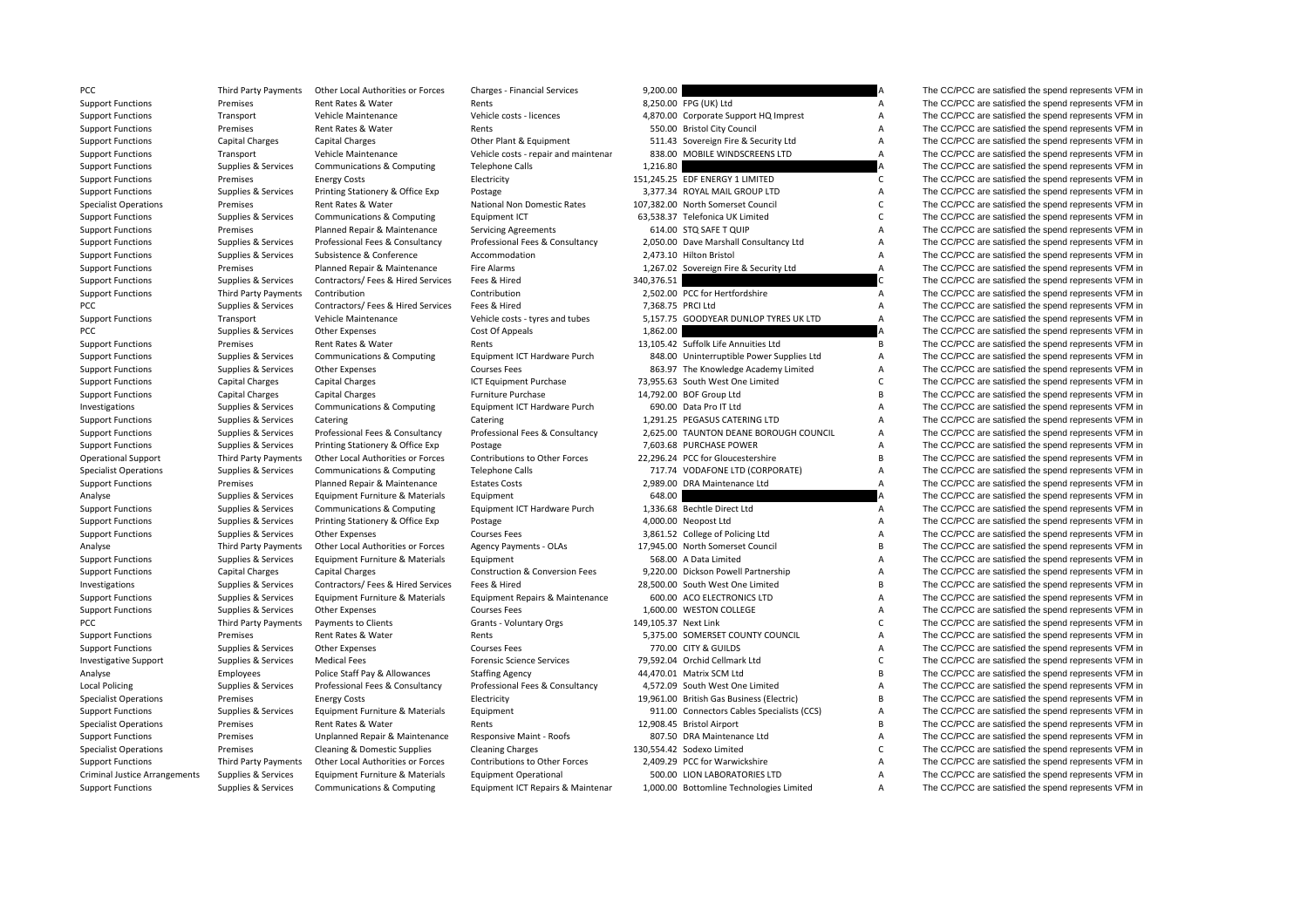PCC Third Party Payments **Local Policing** Criminal Justice

Support Functions Supplies & Services Communications & Computing Equipment ICT Repairs & Maintenar 1,000.00 Bottomline Technologies Limited A The CC/PCC are satisfied the spend represents VFM in

PCC Third Party Payments Other Local Authorities or Forces Charges - Financial Services 9,200.00 9,200.00 A The CC/PCC are satisfied the spend represents VFM in Support Functions Premises Rent Rates & Water Rents 8,250.00 FPG (UK) Ltd A The CC/PCC are satisfied the spend represents VFM in Support Functions Transport Vehicle Maintenance Vehicle costs - licences 4,870.00 Corporate Support HQ Imprest A The CC/PCC are satisfied the spend represents VFM in Support Functions Premises Rent Rates & Water Rents Rents Rents Rents SEO.00 Bristol City Council A The CC/PCC are satisfied the spend represents VFM in Support Functions Capital Charges Capital Charges Other Plant & Equipment 511.43 Sovereign Fire & Security Ltd A The CC/PCC are satisfied the spend represents VFM in Support Functions Transport Vehicle Maintenance Vehicle costs - repair and maintenar 838.00 MOBILE WINDSCREENS LTD A The CC/PCC are satisfied the spend represents VFM in Support Functions Supplies & Services Communications & Computing Telephone Calls 1,216.80 A The CC/PCC are satisfied the spend represents VFM in Support Functions Premises Energy Costs Electricity Electricity 151,245.25 EDF ENERGY 1 LIMITED C The CC/PCC are satisfied the spend represents VFM in Support Functions Supplies & Services Printing Stationery & Office Exp Postage 3,377.34 ROYAL MAIL GROUP LTD A The CC/PCC are satisfied the spend represents VFM in Specialist Operations Premises Rent Rates & Water National Non Domestic Rates 107,382.00 North Somerset Council C The CC/PCC are satisfied the spend represents VFM in Supplement CT C C C COUNCL are satisfied the spend repr Support Functions Supplies & Services Communications & Computing Equipment ICT 63,538.37 Telefonica UK Limited C The CC/PCC are satisfied the spend represents VFM in Support Functions Premises Planned Repair & Maintenance Servicing Agreements 614.00 STQ SAFE T QUIP A The CC/PCC are satisfied the spend represents VFM in Support Functions Supplies & Services Professional Fees & Consultancy Professional Fees & Consultancy 2,050.00 Dave Marshall Consultancy Ltd A The CC/PCC are satisfied the spend represents VFM in Support Functions Supplies & Services Subsistence & Conference Accommodation 2,473.10 Hilton Bristol A The CC/PCC are satisfied the spend represents VFM in Support Functions Premises Planned Repair & Maintenance Fire Alarms 1,267.02 Sovereign Fire & Security Ltd A The CC/PCC are satisfied the spend represents VFM in Support Functions Supplies & Services Contractors/ Fees & Hired Services Fees & Hired Services Services Services Services Fees & Hired Services 340,376.51 C The CC/PCC are satisfied the spend represents VFM in Support Functions Third Party Payments Contribution 2, Contribution Contribution 2,502.00 PCC for Hertfordshire A The CC/PCC are satisfied the spend represents VFM in PCC Supplies & Services Contractors/ Fees & Hired Services Fees & Hired 7,368.75 PRCI Ltd A The CC/PCC are satisfied the spend represents VFM in Support Functions Transport Vehicle Maintenance Vehicle costs – tyres and tubes 5,157.75 GOODYEAR DUNLOP TYRES UK LTD A The CC/PCC are satisfied the spend represents VFM in PCC are satisfied the spend represents VFM in PCC PCC Supplies & Services Other Expenses Cost Of Appeals 1,862.00 A The CC/PCC are satisfied the spend represents VFM in Support Functions Premises Rent Rates & Water Rents Rents Rents Rents 13,105.42 Suffolk Life Annuities Ltd B The CC/PCC are satisfied the spend represents VFM in Support Functions Supplies & Services Communications & Computing Equipment ICT Hardware Purch 848.00 Uninterruptible Power Supplies Ltd A The CC/PCC are satisfied the spend represents VFM in Support Functions Supplies & Services Other Expenses Support Courses Fees 863.97 The Knowledge Academy Limited A The CC/PCC are satisfied the spend represents VFM in Support Functions Capital Charges Capital Charges Capital Charges ICT Equipment Purchase 73,955.63 South West One Limited C The CC/PCC are satisfied the spend represents VFM in Support Functions Capital Charges Capital Charges Furniture Purchase 14,792.00 BOF Group Ltd B The CC/PCC are satisfied the spend represents VFM in Investigations Supplies & Services Communications & Computing Equipment ICT Hardware Purch 690.00 Data Pro IT Ltd A The CC/PCC are satisfied the spend represents VFM in Support Functions Supplies & Services Catering Catering Catering Catering Catering 1,291.25 PEGASUS CATERING LTD A The CC/PCC are satisfied the spend represents VFM in Support Functions Supplies & Services Professional Fees & Consultancy Professional Fees & Consultancy 2,625.00 TAUNTON DEANE BOROUGH COUNCIL A The CC/PCC are satisfied the spend represents VFM in<br>Support Functions Supplies Support Functions Supplies & Services Printing Stationery & Office Exp Postage Printing Stationery & Office Exp Postage 7,603.68 PURCHASE POWER A The CC/PCC are satisfied the spend represents VFM in Operational Support Third Party Payments Other Local Authorities or Forces Contributions to Other Forces 22,296.24 PCC for Gloucestershire B The CC/PCC are satisfied the spend represents VFM in Specialist Operations Supplies & Services Communications & Computing Telephone Calls 717.74 VODAFONE LTD (CORPORATE) A The CC/PCC are satisfied the spend represents VFM in Support Functions Premises Planned Repair & Maintenance Estates Costs 2,989.00 DRA Maintenance Ltd A The CC/PCC are satisfied the spend represents VFM in Analyse Supplies & Services Equipment Furniture & Materials Equipment 648.00 A The CC/PCC are satisfied the spend represents VFM in Support Functions Supplies & Services Communications & Computing Equipment ICT Hardware Purch 1,336.68 Bechtle Direct Ltd A The CC/PCC are satisfied the spend represents VFM in Support Functions Supplies & Services Printing Stationery & Office Exp Postage Protage 4,000.00 Neopost Ltd A The CC/PCC are satisfied the spend represents VFM in Support Functions Supplies & Services Other Expenses Courses Fees 3,861.52 College of Policing Ltd A The CC/PCC are satisfied the spend represents VFM in Analyse Third Party Payments Other Local Authorities or Forces Agency Payments - OLAs 17,945.00 North Somerset Council B The CC/PCC are satisfied the spend represents VFM in Supplies & Services Fauthornt Furniture & Materi Support Functions Supplies & Services Equipment Furniture & Materials Equipment Support Support Functions Support Functions Support Functions Support Functions Support Functions Support Functions Contents Conversion Execut Support Functions Capital Charges Capital Charges Construction & Conversion Fees 9,220.00 Dickson Powell Partnership A The CC/PCC are satisfied the spend represents VFM in Investigations Supplies & Services Contractors/ Fees & Hired Services Fees & Hired 28,500.00 South West One Limited B The CC/PCC are satisfied the spend represents VFM in Support Functions Supplies & Services Equipment Furniture & Materials Equipment Repairs & Maintenance 600.00 ACO ELECTRONICS LTD A The CC/PCC are satisfied the spend represents VFM in Support Functions Supplies & Services Other Expenses Courses Fees 1,600.00 WESTON COLLEGE A The CC/PCC are satisfied the spend represents VFM in Payments to Clients Crants · Voluntary Orgs 149,105.37 Next Link C The CC/PCC are satisfied the spend represents VFM in Support Functions Premises Rent Rates & Water Rents Rents Rents S.375.00 SOMERSET COUNTY COUNCIL A The CC/PCC are satisfied the spend represents VFM in Support Functions Supplies & Services Other Expenses Courses Fees Courses Fees 770.00 CITY & GUILDS A The CC/PCC are satisfied the spend represents VFM in Investigative Support Supplies & Services Medical Fees Forensic Science Services 79,592.04 Orchid Cellmark Ltd C The CC/PCC are satisfied the spend represents VFM in<br>Analyse The CC/PCC are satisfied the spend represents VF Analyse Employees Police Staff Pay & Allowances Staffing Agency 44,470.01 Matrix SCM Ltd B The CC/PCC are satisfied the spend represents VFM in Supplies & Services Professional Fees & Consultancy Professional Fees & Consultancy 4,572.09 South West One Limited A The CC/PCC are satisfied the spend represents VFM in Specialist Operations Premises Energy Costs Electricity Electricity 19,961.00 British Gas Business (Electricity B The CC/PCC are satisfied the spend represents VFM in Support Functions Supplies & Services Equipment Furniture & Materials Equipment Supplies Associalists (CCS) A The CC/PCC are satisfied the spend represents VFM in Specialist Operations Premises Rent Rates & Water Rents 12,908.45 Bristol Airport B The CC/PCC are satisfied the spend represents VFM in Support Functions Premises Unplanned Repair & Maintenance Responsive Maint - Roofs 807.50 DRA Maintenance Ltd A The CC/PCC are satisfied the spend represents VFM in Specialist Operations Premises Cleaning & Domestic Supplies Cleaning Charges 130,554.42 Sodexo Limited C The CC/PCC are satisfied the spend represents VFM in Support Functions Third Party Payments Other Local Authorities or Forces Contributions to Other Forces 2,409.29 PCC for Warwickshire A The CC/PCC are satisfied the spend represents VFM in Supplies & Services Equipment Furniture & Materials Equipment Operational 500.00 LION LABORATORIES LTD A The CC/PCC are satisfied the spend represents VFM in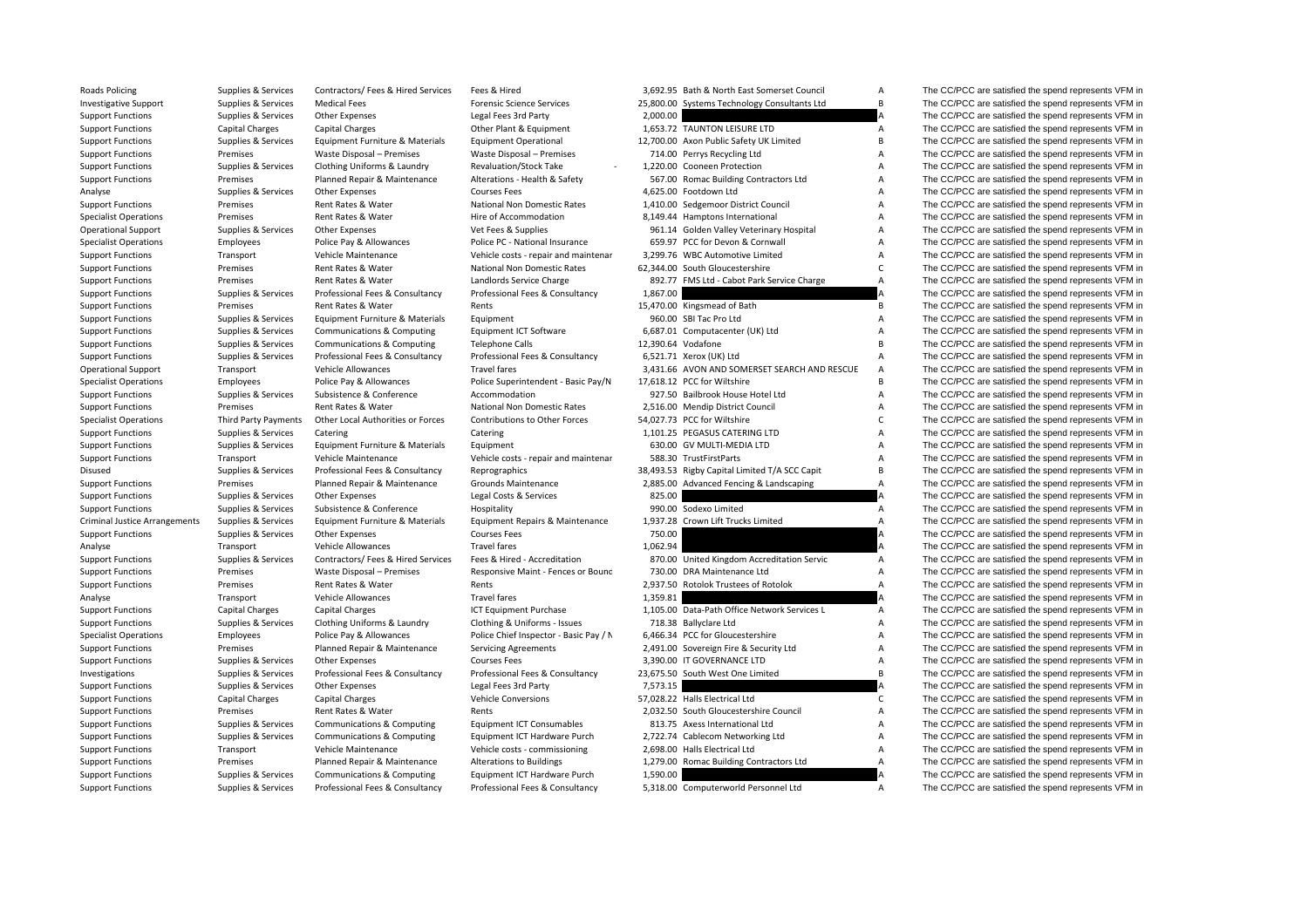| <b>Roads Policing</b>                | Supplies & Services    | Contractors/ Fees & Hired Services | Fees & Hired                                | 3,692.95 Bath & North East Somerset Council                        | A                   | The CC/PCC are satisfied the spend represents VFM in                                                         |
|--------------------------------------|------------------------|------------------------------------|---------------------------------------------|--------------------------------------------------------------------|---------------------|--------------------------------------------------------------------------------------------------------------|
| <b>Investigative Support</b>         | Supplies & Services    | <b>Medical Fees</b>                | <b>Forensic Science Services</b>            | 25,800.00 Systems Technology Consultants Ltd                       | B                   | The CC/PCC are satisfied the spend represents VFM in                                                         |
| <b>Support Functions</b>             | Supplies & Services    | <b>Other Expenses</b>              | Legal Fees 3rd Party                        | 2,000.00                                                           |                     | The CC/PCC are satisfied the spend represents VFM in                                                         |
| <b>Support Functions</b>             | Capital Charges        | Capital Charges                    | Other Plant & Equipment                     | 1,653.72 TAUNTON LEISURE LTD                                       | $\mathsf{A}$        | The CC/PCC are satisfied the spend represents VFM in                                                         |
| <b>Support Functions</b>             | Supplies & Services    | Equipment Furniture & Materials    | <b>Equipment Operational</b>                | 12,700.00 Axon Public Safety UK Limited                            | В                   | The CC/PCC are satisfied the spend represents VFM in                                                         |
| <b>Support Functions</b>             | Premises               | Waste Disposal - Premises          | Waste Disposal - Premises                   | 714.00 Perrys Recycling Ltd                                        | A                   | The CC/PCC are satisfied the spend represents VFM in                                                         |
| <b>Support Functions</b>             | Supplies & Services    | Clothing Uniforms & Laundry        | Revaluation/Stock Take                      | 1,220.00 Cooneen Protection                                        | Α                   | The CC/PCC are satisfied the spend represents VFM in                                                         |
| <b>Support Functions</b>             | Premises               | Planned Repair & Maintenance       | Alterations - Health & Safety               | 567.00 Romac Building Contractors Ltd                              | A                   | The CC/PCC are satisfied the spend represents VFM in                                                         |
| Analyse                              | Supplies & Services    | Other Expenses                     | <b>Courses Fees</b>                         | 4,625.00 Footdown Ltd                                              | А                   | The CC/PCC are satisfied the spend represents VFM in                                                         |
| <b>Support Functions</b>             | Premises               | Rent Rates & Water                 | National Non Domestic Rates                 | 1,410.00 Sedgemoor District Council                                | $\overline{A}$      | The CC/PCC are satisfied the spend represents VFM in                                                         |
| <b>Specialist Operations</b>         | Premises               | Rent Rates & Water                 | Hire of Accommodation                       | 8,149.44 Hamptons International                                    | A                   | The CC/PCC are satisfied the spend represents VFM in                                                         |
| <b>Operational Support</b>           | Supplies & Services    | <b>Other Expenses</b>              | Vet Fees & Supplies                         | 961.14 Golden Valley Veterinary Hospital                           | A                   | The CC/PCC are satisfied the spend represents VFM in                                                         |
| <b>Specialist Operations</b>         | Employees              | Police Pay & Allowances            | Police PC - National Insurance              | 659.97 PCC for Devon & Cornwall                                    | Α                   | The CC/PCC are satisfied the spend represents VFM in                                                         |
| <b>Support Functions</b>             | Transport              | Vehicle Maintenance                | Vehicle costs - repair and maintenar        | 3,299.76 WBC Automotive Limited                                    | Α                   | The CC/PCC are satisfied the spend represents VFM in                                                         |
| <b>Support Functions</b>             | Premises               | Rent Rates & Water                 | National Non Domestic Rates                 | 62,344.00 South Gloucestershire                                    | C                   | The CC/PCC are satisfied the spend represents VFM in                                                         |
| <b>Support Functions</b>             | Premises               | Rent Rates & Water                 | Landlords Service Charge                    | 892.77 FMS Ltd - Cabot Park Service Charge                         | $\overline{A}$      | The CC/PCC are satisfied the spend represents VFM in                                                         |
| <b>Support Functions</b>             | Supplies & Services    | Professional Fees & Consultancy    | Professional Fees & Consultancy             | 1,867.00                                                           |                     | The CC/PCC are satisfied the spend represents VFM in                                                         |
| <b>Support Functions</b>             | Premises               | Rent Rates & Water                 | Rents                                       | 15,470.00 Kingsmead of Bath                                        | B                   | The CC/PCC are satisfied the spend represents VFM in                                                         |
| <b>Support Functions</b>             | Supplies & Services    | Equipment Furniture & Materials    | Equipment                                   | 960.00 SBI Tac Pro Ltd                                             | A                   | The CC/PCC are satisfied the spend represents VFM in                                                         |
| <b>Support Functions</b>             | Supplies & Services    | Communications & Computing         | Equipment ICT Software                      | 6,687.01 Computacenter (UK) Ltd                                    | Α                   | The CC/PCC are satisfied the spend represents VFM in                                                         |
| <b>Support Functions</b>             | Supplies & Services    | Communications & Computing         | <b>Telephone Calls</b>                      | 12,390.64 Vodafone                                                 | B                   | The CC/PCC are satisfied the spend represents VFM in                                                         |
| <b>Support Functions</b>             | Supplies & Services    | Professional Fees & Consultancy    | Professional Fees & Consultancy             | 6,521.71 Xerox (UK) Ltd                                            | A                   | The CC/PCC are satisfied the spend represents VFM in                                                         |
| <b>Operational Support</b>           | Transport              | <b>Vehicle Allowances</b>          | <b>Travel fares</b>                         | 3,431.66 AVON AND SOMERSET SEARCH AND RESCUE                       | A                   | The CC/PCC are satisfied the spend represents VFM in                                                         |
| <b>Specialist Operations</b>         | Employees              | Police Pay & Allowances            | Police Superintendent - Basic Pay/N         | 17,618.12 PCC for Wiltshire                                        | B                   | The CC/PCC are satisfied the spend represents VFM in                                                         |
| <b>Support Functions</b>             | Supplies & Services    | Subsistence & Conference           | Accommodation                               | 927.50 Bailbrook House Hotel Ltd                                   | $\mathsf A$         | The CC/PCC are satisfied the spend represents VFM in                                                         |
| <b>Support Functions</b>             | Premises               | Rent Rates & Water                 | National Non Domestic Rates                 | 2,516.00 Mendip District Council                                   | А                   | The CC/PCC are satisfied the spend represents VFM in                                                         |
| <b>Specialist Operations</b>         | Third Party Payments   | Other Local Authorities or Forces  | <b>Contributions to Other Forces</b>        | 54,027.73 PCC for Wiltshire                                        | $\mathsf{C}$        | The CC/PCC are satisfied the spend represents VFM in                                                         |
| <b>Support Functions</b>             | Supplies & Services    | Catering                           | Catering                                    | 1,101.25 PEGASUS CATERING LTD                                      | А                   | The CC/PCC are satisfied the spend represents VFM in                                                         |
| <b>Support Functions</b>             | Supplies & Services    | Equipment Furniture & Materials    | Equipment                                   | 630.00 GV MULTI-MEDIA LTD                                          | A                   | The CC/PCC are satisfied the spend represents VFM in                                                         |
| <b>Support Functions</b>             | Transport              | Vehicle Maintenance                | Vehicle costs - repair and maintenar        | 588.30 TrustFirstParts                                             | Α                   | The CC/PCC are satisfied the spend represents VFM in                                                         |
| Disused                              | Supplies & Services    | Professional Fees & Consultancy    | Reprographics                               | 38,493.53 Rigby Capital Limited T/A SCC Capit                      | B                   | The CC/PCC are satisfied the spend represents VFM in                                                         |
| <b>Support Functions</b>             | Premises               | Planned Repair & Maintenance       | <b>Grounds Maintenance</b>                  | 2,885.00 Advanced Fencing & Landscaping                            | $\overline{A}$      | The CC/PCC are satisfied the spend represents VFM in                                                         |
| <b>Support Functions</b>             | Supplies & Services    | Other Expenses                     | Legal Costs & Services                      | 825.00                                                             |                     | The CC/PCC are satisfied the spend represents VFM in                                                         |
| <b>Support Functions</b>             | Supplies & Services    | Subsistence & Conference           | Hospitality                                 | 990.00 Sodexo Limited                                              | A                   | The CC/PCC are satisfied the spend represents VFM in                                                         |
| <b>Criminal Justice Arrangements</b> | Supplies & Services    | Equipment Furniture & Materials    | Equipment Repairs & Maintenance             | 1,937.28 Crown Lift Trucks Limited                                 | Α                   | The CC/PCC are satisfied the spend represents VFM in                                                         |
| <b>Support Functions</b>             | Supplies & Services    | <b>Other Expenses</b>              | <b>Courses Fees</b>                         | 750.00                                                             |                     | The CC/PCC are satisfied the spend represents VFM in                                                         |
|                                      | Transport              | Vehicle Allowances                 | <b>Travel fares</b>                         | 1,062.94                                                           |                     | The CC/PCC are satisfied the spend represents VFM in                                                         |
| Analyse                              |                        | Contractors/ Fees & Hired Services | Fees & Hired - Accreditation                | 870.00 United Kingdom Accreditation Servic                         | A                   | The CC/PCC are satisfied the spend represents VFM in                                                         |
| <b>Support Functions</b>             | Supplies & Services    |                                    |                                             |                                                                    |                     |                                                                                                              |
| <b>Support Functions</b>             | Premises<br>Premises   | Waste Disposal - Premises          | Responsive Maint - Fences or Bounc<br>Rents | 730.00 DRA Maintenance Ltd<br>2,937.50 Rotolok Trustees of Rotolok | Α<br>$\overline{A}$ | The CC/PCC are satisfied the spend represents VFM in<br>The CC/PCC are satisfied the spend represents VFM in |
| <b>Support Functions</b>             |                        | Rent Rates & Water                 | Travel fares                                | 1,359.81                                                           |                     | The CC/PCC are satisfied the spend represents VFM in                                                         |
| Analyse                              | Transport              | Vehicle Allowances                 |                                             | 1,105.00 Data-Path Office Network Services L                       | $\mathsf{A}$        |                                                                                                              |
| <b>Support Functions</b>             | <b>Capital Charges</b> | <b>Capital Charges</b>             | ICT Equipment Purchase                      |                                                                    |                     | The CC/PCC are satisfied the spend represents VFM in                                                         |
| <b>Support Functions</b>             | Supplies & Services    | Clothing Uniforms & Laundry        | Clothing & Uniforms - Issues                | 718.38 Ballyclare Ltd                                              | A                   | The CC/PCC are satisfied the spend represents VFM in                                                         |
| <b>Specialist Operations</b>         | Employees              | Police Pay & Allowances            | Police Chief Inspector - Basic Pay / N      | 6,466.34 PCC for Gloucestershire                                   | A                   | The CC/PCC are satisfied the spend represents VFM in                                                         |
| <b>Support Functions</b>             | Premises               | Planned Repair & Maintenance       | <b>Servicing Agreements</b>                 | 2,491.00 Sovereign Fire & Security Ltd                             | Α                   | The CC/PCC are satisfied the spend represents VFM in                                                         |
| <b>Support Functions</b>             | Supplies & Services    | Other Expenses                     | <b>Courses Fees</b>                         | 3,390.00 IT GOVERNANCE LTD                                         | Α                   | The CC/PCC are satisfied the spend represents VFM in                                                         |
| Investigations                       | Supplies & Services    | Professional Fees & Consultancy    | Professional Fees & Consultancy             | 23,675.50 South West One Limited                                   | B                   | The CC/PCC are satisfied the spend represents VFM in                                                         |
| <b>Support Functions</b>             | Supplies & Services    | <b>Other Expenses</b>              | Legal Fees 3rd Party                        | 7.573.15                                                           |                     | The CC/PCC are satisfied the spend represents VFM in                                                         |
| <b>Support Functions</b>             | Capital Charges        | <b>Capital Charges</b>             | <b>Vehicle Conversions</b>                  | 57,028.22 Halls Electrical Ltd                                     | C                   | The CC/PCC are satisfied the spend represents VFM in                                                         |
| <b>Support Functions</b>             | Premises               | Rent Rates & Water                 | Rents                                       | 2,032.50 South Gloucestershire Council                             | A                   | The CC/PCC are satisfied the spend represents VFM in                                                         |
| <b>Support Functions</b>             | Supplies & Services    | Communications & Computing         | <b>Equipment ICT Consumables</b>            | 813.75 Axess International Ltd                                     | Α                   | The CC/PCC are satisfied the spend represents VFM in                                                         |
| <b>Support Functions</b>             | Supplies & Services    | Communications & Computing         | Equipment ICT Hardware Purch                | 2,722.74 Cablecom Networking Ltd                                   | Α                   | The CC/PCC are satisfied the spend represents VFM in                                                         |
| <b>Support Functions</b>             | Transport              | Vehicle Maintenance                | Vehicle costs - commissioning               | 2,698.00 Halls Electrical Ltd                                      | Α                   | The CC/PCC are satisfied the spend represents VFM in                                                         |
| <b>Support Functions</b>             | Premises               | Planned Repair & Maintenance       | Alterations to Buildings                    | 1,279.00 Romac Building Contractors Ltd                            | $\overline{A}$      | The CC/PCC are satisfied the spend represents VFM in                                                         |
| Sunnort Eunctions                    | Sunnlies & Services    | Communications & Computing         | <b>Equipment ICT Hardware Purch</b>         | 1.590.00                                                           |                     | The CC/PCC are satisfied the spend represents VEM in                                                         |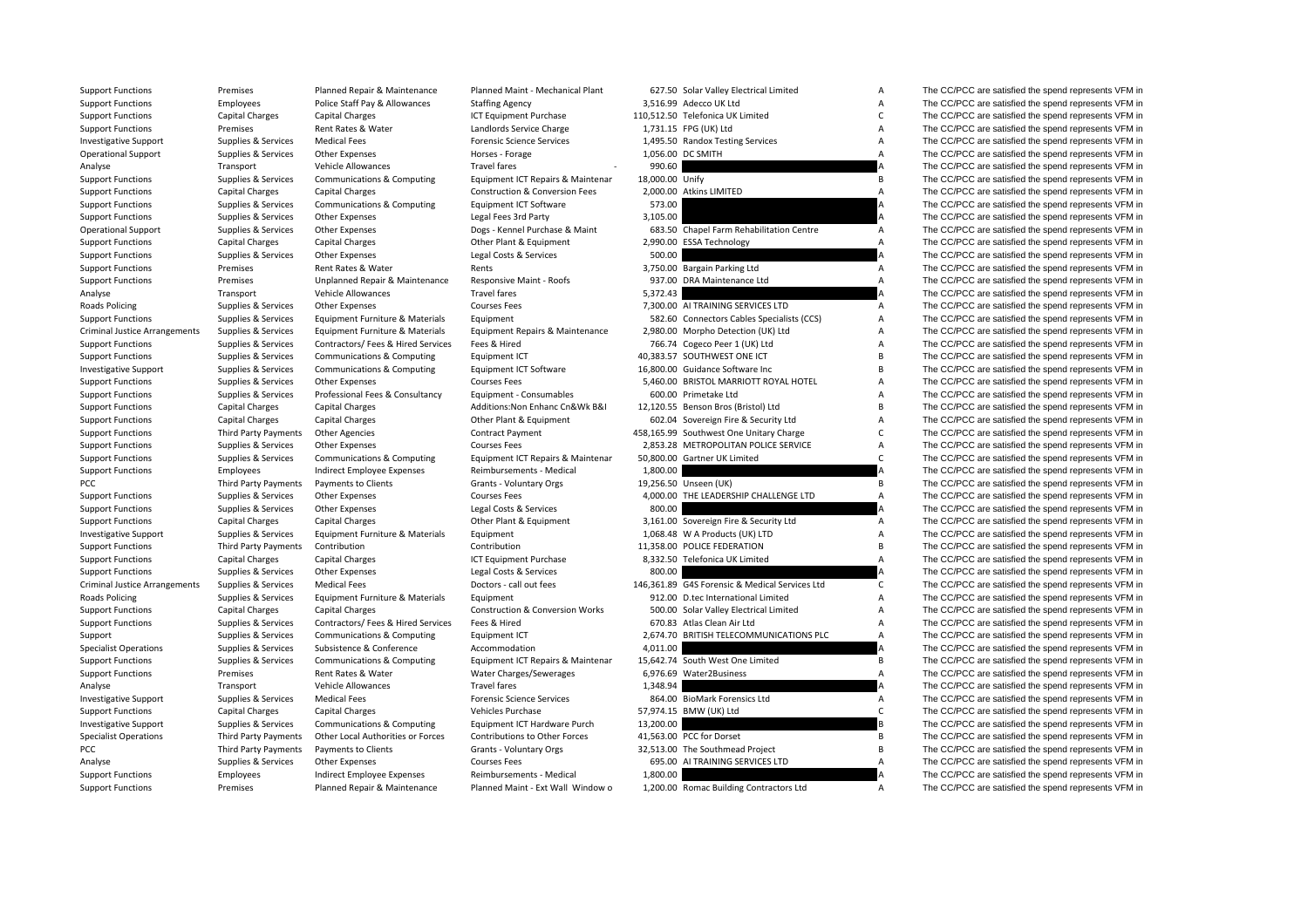| <b>Support Functions</b>             | Premises               | Planned Repair & Maintenance                        | Planned Maint - Mechanical Plant                |                 | 627.50 Solar Valley Electrical Limited         | A              | The CC/PCC are satisfied the spend represents VFM in |
|--------------------------------------|------------------------|-----------------------------------------------------|-------------------------------------------------|-----------------|------------------------------------------------|----------------|------------------------------------------------------|
| <b>Support Functions</b>             | Employees              | Police Staff Pay & Allowances                       | <b>Staffing Agency</b>                          |                 | 3,516.99 Adecco UK Ltd                         | Α              | The CC/PCC are satisfied the spend represents VFM in |
| <b>Support Functions</b>             | <b>Capital Charges</b> | <b>Capital Charges</b>                              | ICT Equipment Purchase                          |                 | 110,512.50 Telefonica UK Limited               | $\mathsf{C}$   | The CC/PCC are satisfied the spend represents VFM in |
| <b>Support Functions</b>             | Premises               | Rent Rates & Water                                  | Landlords Service Charge                        |                 | 1,731.15 FPG (UK) Ltd                          | A              | The CC/PCC are satisfied the spend represents VFM in |
| <b>Investigative Support</b>         | Supplies & Services    | <b>Medical Fees</b>                                 | <b>Forensic Science Services</b>                |                 | 1,495.50 Randox Testing Services               | А              | The CC/PCC are satisfied the spend represents VFM in |
| <b>Operational Support</b>           | Supplies & Services    | <b>Other Expenses</b>                               | Horses - Forage                                 |                 | 1,056.00 DC SMITH                              | Α              | The CC/PCC are satisfied the spend represents VFM in |
| Analyse                              | Transport              | Vehicle Allowances                                  | <b>Travel fares</b>                             | 990.60          |                                                |                | The CC/PCC are satisfied the spend represents VFM in |
| <b>Support Functions</b>             | Supplies & Services    | Communications & Computing                          | Equipment ICT Repairs & Maintenar               | 18,000.00 Unify |                                                | B              | The CC/PCC are satisfied the spend represents VFM in |
| <b>Support Functions</b>             | Capital Charges        | <b>Capital Charges</b>                              | <b>Construction &amp; Conversion Fees</b>       |                 | 2,000.00 Atkins LIMITED                        | A              | The CC/PCC are satisfied the spend represents VFM in |
| <b>Support Functions</b>             | Supplies & Services    | Communications & Computing                          | <b>Equipment ICT Software</b>                   | 573.00          |                                                | А              | The CC/PCC are satisfied the spend represents VFM in |
| <b>Support Functions</b>             | Supplies & Services    | Other Expenses                                      | Legal Fees 3rd Party                            | 3,105.00        |                                                |                | The CC/PCC are satisfied the spend represents VFM in |
| <b>Operational Support</b>           | Supplies & Services    | <b>Other Expenses</b>                               | Dogs - Kennel Purchase & Maint                  |                 | 683.50 Chapel Farm Rehabilitation Centre       | Α              | The CC/PCC are satisfied the spend represents VFM in |
| <b>Support Functions</b>             | Capital Charges        | Capital Charges                                     | Other Plant & Equipment                         |                 | 2,990.00 ESSA Technology                       | Α              | The CC/PCC are satisfied the spend represents VFM in |
| <b>Support Functions</b>             | Supplies & Services    | Other Expenses                                      | Legal Costs & Services                          | 500.00          |                                                |                | The CC/PCC are satisfied the spend represents VFM in |
| <b>Support Functions</b>             | Premises               | Rent Rates & Water                                  | Rents                                           |                 | 3,750.00 Bargain Parking Ltd                   | A              | The CC/PCC are satisfied the spend represents VFM in |
| <b>Support Functions</b>             | Premises               | Unplanned Repair & Maintenance                      | Responsive Maint - Roofs                        |                 | 937.00 DRA Maintenance Ltd                     | $\overline{A}$ | The CC/PCC are satisfied the spend represents VFM in |
| Analyse                              | Transport              | Vehicle Allowances                                  | <b>Travel fares</b>                             | 5,372.43        |                                                |                | The CC/PCC are satisfied the spend represents VFM in |
| Roads Policing                       | Supplies & Services    | <b>Other Expenses</b>                               | <b>Courses Fees</b>                             |                 | 7,300.00 AI TRAINING SERVICES LTD              | A              | The CC/PCC are satisfied the spend represents VFM in |
| <b>Support Functions</b>             | Supplies & Services    | Equipment Furniture & Materials                     | Equipment                                       |                 | 582.60 Connectors Cables Specialists (CCS)     | Α              | The CC/PCC are satisfied the spend represents VFM in |
| <b>Criminal Justice Arrangements</b> | Supplies & Services    | Equipment Furniture & Materials                     | Equipment Repairs & Maintenance                 |                 | 2,980.00 Morpho Detection (UK) Ltd             | A              | The CC/PCC are satisfied the spend represents VFM in |
| <b>Support Functions</b>             | Supplies & Services    | Contractors/Fees & Hired Services                   | Fees & Hired                                    |                 | 766.74 Cogeco Peer 1 (UK) Ltd                  | Α              | The CC/PCC are satisfied the spend represents VFM in |
| <b>Support Functions</b>             | Supplies & Services    | Communications & Computing                          | Equipment ICT                                   |                 | 40,383.57 SOUTHWEST ONE ICT                    | B              | The CC/PCC are satisfied the spend represents VFM in |
|                                      |                        |                                                     |                                                 |                 | 16,800.00 Guidance Software Inc                | B              |                                                      |
| <b>Investigative Support</b>         | Supplies & Services    | Communications & Computing                          | Equipment ICT Software                          |                 |                                                |                | The CC/PCC are satisfied the spend represents VFM in |
| <b>Support Functions</b>             | Supplies & Services    | <b>Other Expenses</b>                               | <b>Courses Fees</b>                             |                 | 5.460.00 BRISTOL MARRIOTT ROYAL HOTEL          | A              | The CC/PCC are satisfied the spend represents VFM in |
| <b>Support Functions</b>             | Supplies & Services    | Professional Fees & Consultancy                     | Equipment - Consumables                         |                 | 600.00 Primetake Ltd                           | A              | The CC/PCC are satisfied the spend represents VFM in |
| <b>Support Functions</b>             | <b>Capital Charges</b> | Capital Charges                                     | Additions: Non Enhanc Cn&Wk B&I                 |                 | 12,120.55 Benson Bros (Bristol) Ltd            | B              | The CC/PCC are satisfied the spend represents VFM in |
| <b>Support Functions</b>             | <b>Capital Charges</b> | <b>Capital Charges</b>                              | Other Plant & Equipment                         |                 | 602.04 Sovereign Fire & Security Ltd           | Α              | The CC/PCC are satisfied the spend represents VFM in |
| <b>Support Functions</b>             | Third Party Payments   | <b>Other Agencies</b>                               | <b>Contract Payment</b>                         |                 | 458,165.99 Southwest One Unitary Charge        | $\mathsf{C}$   | The CC/PCC are satisfied the spend represents VFM in |
| <b>Support Functions</b>             | Supplies & Services    | <b>Other Expenses</b>                               | <b>Courses Fees</b>                             |                 | 2,853.28 METROPOLITAN POLICE SERVICE           | Α              | The CC/PCC are satisfied the spend represents VFM in |
| <b>Support Functions</b>             | Supplies & Services    | Communications & Computing                          | Equipment ICT Repairs & Maintenar               |                 | 50,800.00 Gartner UK Limited                   | $\mathsf{C}$   | The CC/PCC are satisfied the spend represents VFM in |
| <b>Support Functions</b>             | Employees              | Indirect Employee Expenses                          | Reimbursements - Medical                        | 1,800.00        |                                                |                | The CC/PCC are satisfied the spend represents VFM in |
| <b>PCC</b>                           | Third Party Payments   | Payments to Clients                                 | Grants - Voluntary Orgs                         |                 | 19,256.50 Unseen (UK)                          | B              | The CC/PCC are satisfied the spend represents VFM in |
| <b>Support Functions</b>             | Supplies & Services    | <b>Other Expenses</b>                               | <b>Courses Fees</b>                             |                 | 4,000.00 THE LEADERSHIP CHALLENGE LTD          | A              | The CC/PCC are satisfied the spend represents VFM in |
| <b>Support Functions</b>             | Supplies & Services    | <b>Other Expenses</b>                               | Legal Costs & Services                          | 800.00          |                                                |                | The CC/PCC are satisfied the spend represents VFM in |
| <b>Support Functions</b>             | <b>Capital Charges</b> | <b>Capital Charges</b>                              | Other Plant & Equipment                         |                 | 3,161.00 Sovereign Fire & Security Ltd         | $\mathsf{A}$   | The CC/PCC are satisfied the spend represents VFM in |
| <b>Investigative Support</b>         | Supplies & Services    | Equipment Furniture & Materials                     | Equipment                                       |                 | 1,068.48 W A Products (UK) LTD                 | A              | The CC/PCC are satisfied the spend represents VFM in |
| <b>Support Functions</b>             | Third Party Payments   | Contribution                                        | Contribution                                    |                 | 11,358.00 POLICE FEDERATION                    | B              | The CC/PCC are satisfied the spend represents VFM in |
| <b>Support Functions</b>             | <b>Capital Charges</b> | <b>Capital Charges</b>                              | ICT Equipment Purchase                          |                 | 8,332.50 Telefonica UK Limited                 | A              | The CC/PCC are satisfied the spend represents VFM in |
| <b>Support Functions</b>             | Supplies & Services    | Other Expenses                                      | Legal Costs & Services                          | 800.00          |                                                |                | The CC/PCC are satisfied the spend represents VFM in |
| Criminal Justice Arrangements        | Supplies & Services    | <b>Medical Fees</b>                                 | Doctors - call out fees                         |                 | 146,361.89 G4S Forensic & Medical Services Ltd | C              | The CC/PCC are satisfied the spend represents VFM in |
| Roads Policing                       | Supplies & Services    | Equipment Furniture & Materials                     | Equipment                                       |                 | 912.00 D.tec International Limited             | Α              | The CC/PCC are satisfied the spend represents VFM in |
| <b>Support Functions</b>             | Capital Charges        | <b>Capital Charges</b>                              | <b>Construction &amp; Conversion Works</b>      |                 | 500.00 Solar Valley Electrical Limited         | A              | The CC/PCC are satisfied the spend represents VFM in |
| <b>Support Functions</b>             | Supplies & Services    | Contractors/ Fees & Hired Services                  | Fees & Hired                                    |                 | 670.83 Atlas Clean Air Ltd                     | А              | The CC/PCC are satisfied the spend represents VFM in |
| Support                              | Supplies & Services    | Communications & Computing                          | Equipment ICT                                   |                 | 2,674.70 BRITISH TELECOMMUNICATIONS PLC        | A              | The CC/PCC are satisfied the spend represents VFM in |
| <b>Specialist Operations</b>         | Supplies & Services    | Subsistence & Conference                            | Accommodation                                   | 4,011.00        |                                                |                | The CC/PCC are satisfied the spend represents VFM in |
| <b>Support Functions</b>             | Supplies & Services    | Communications & Computing                          | Equipment ICT Repairs & Maintenar               |                 | 15,642.74 South West One Limited               | В              | The CC/PCC are satisfied the spend represents VFM in |
| <b>Support Functions</b>             | Premises               | Rent Rates & Water                                  | Water Charges/Sewerages                         |                 | 6,976.69 Water2Business                        | А              | The CC/PCC are satisfied the spend represents VFM in |
| Analyse                              | Transport              | Vehicle Allowances                                  | Travel fares                                    | 1,348.94        |                                                |                | The CC/PCC are satisfied the spend represents VFM in |
| <b>Investigative Support</b>         | Supplies & Services    | <b>Medical Fees</b>                                 | <b>Forensic Science Services</b>                |                 | 864.00 BioMark Forensics Ltd                   | $\mathsf{A}$   | The CC/PCC are satisfied the spend represents VFM in |
| <b>Support Functions</b>             | Capital Charges        | <b>Capital Charges</b>                              | Vehicles Purchase                               |                 | 57,974.15 BMW (UK) Ltd                         | $\mathsf{C}$   | The CC/PCC are satisfied the spend represents VFM in |
| <b>Investigative Support</b>         | Supplies & Services    | Communications & Computing                          | Equipment ICT Hardware Purch                    | 13,200.00       |                                                |                | The CC/PCC are satisfied the spend represents VFM in |
| <b>Specialist Operations</b>         | Third Party Payments   | Other Local Authorities or Forces                   | Contributions to Other Forces                   |                 | 41,563.00 PCC for Dorset                       | В              | The CC/PCC are satisfied the spend represents VFM in |
| PCC                                  | Third Party Payments   | Payments to Clients                                 | Grants - Voluntary Orgs                         |                 | 32,513.00 The Southmead Project                | B              | The CC/PCC are satisfied the spend represents VFM in |
|                                      | Supplies & Services    |                                                     |                                                 |                 | 695.00 AI TRAINING SERVICES LTD                | A              | The CC/PCC are satisfied the spend represents VFM in |
| Analyse<br>Support Functions         | Employees              | <b>Other Expenses</b><br>Indirect Employee Expenses | <b>Courses Fees</b><br>Reimbursements - Medical | 1.800.00        |                                                |                | The CC/PCC are satisfied the spend represents VFM in |
|                                      |                        |                                                     |                                                 |                 |                                                |                |                                                      |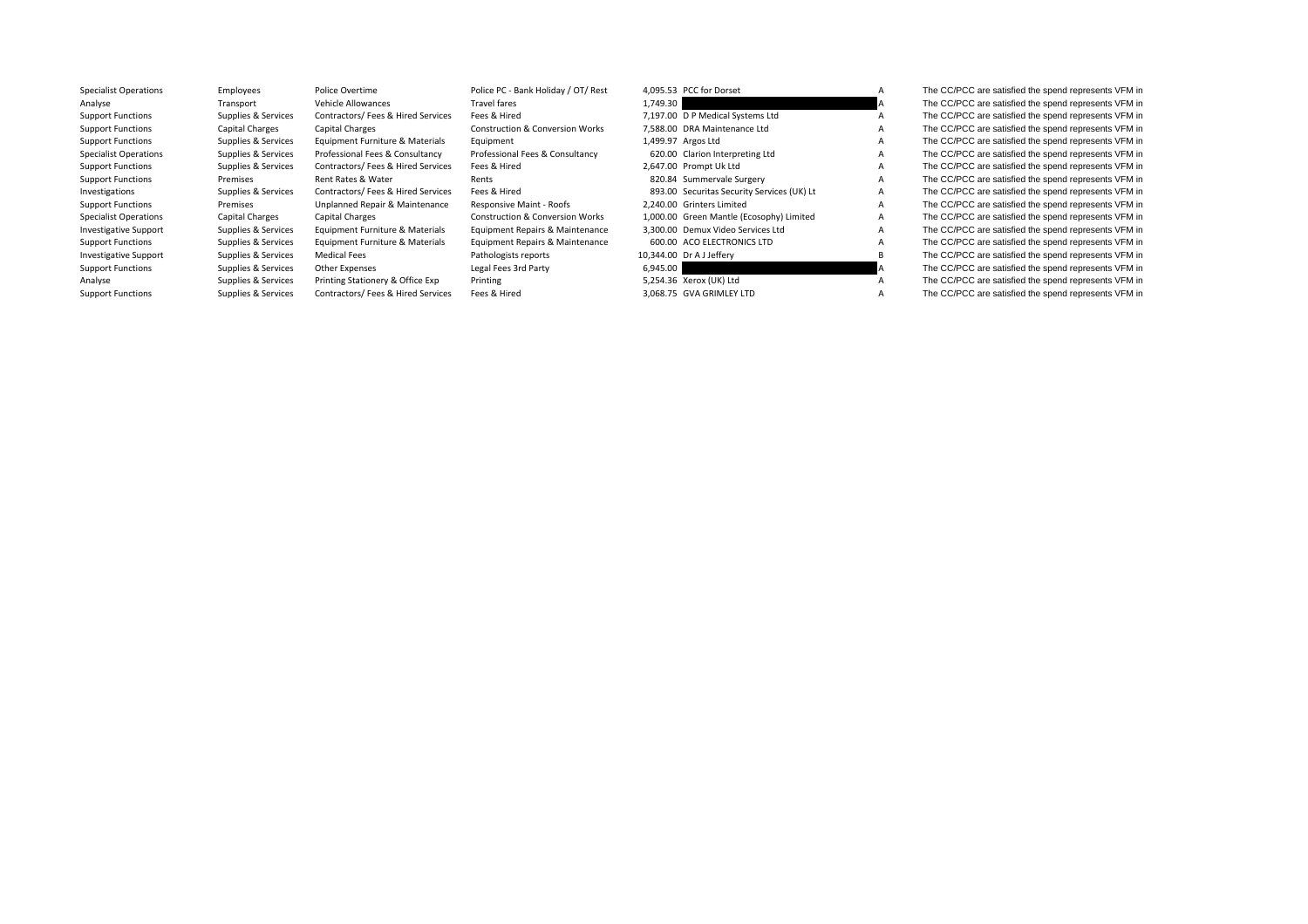| <b>Specialist Operations</b> | Employees           | Police Overtime                    | Police PC - Bank Holiday / OT/ Rest        | 4.095.53 PCC for Dorset                    | A            | The CC/PCC are satisfied the spend represents VFM in |
|------------------------------|---------------------|------------------------------------|--------------------------------------------|--------------------------------------------|--------------|------------------------------------------------------|
| Analyse                      | Transport           | Vehicle Allowances                 | Travel fares                               | 1,749.30                                   | A            | The CC/PCC are satisfied the spend represents VFM in |
| <b>Support Functions</b>     | Supplies & Services | Contractors/ Fees & Hired Services | Fees & Hired                               | 7,197.00 D P Medical Systems Ltd           |              | The CC/PCC are satisfied the spend represents VFM in |
| <b>Support Functions</b>     | Capital Charges     | <b>Capital Charges</b>             | <b>Construction &amp; Conversion Works</b> | 7.588.00 DRA Maintenance Ltd               |              | The CC/PCC are satisfied the spend represents VFM in |
| <b>Support Functions</b>     | Supplies & Services | Equipment Furniture & Materials    | Equipment                                  | 1,499.97 Argos Ltd                         |              | The CC/PCC are satisfied the spend represents VFM in |
| <b>Specialist Operations</b> | Supplies & Services | Professional Fees & Consultancy    | Professional Fees & Consultancy            | 620.00 Clarion Interpreting Ltd            | A            | The CC/PCC are satisfied the spend represents VFM in |
| <b>Support Functions</b>     | Supplies & Services | Contractors/ Fees & Hired Services | Fees & Hired                               | 2.647.00 Prompt Uk Ltd                     | A            | The CC/PCC are satisfied the spend represents VFM in |
| <b>Support Functions</b>     | Premises            | Rent Rates & Water                 | Rents                                      | 820.84 Summervale Surgery                  |              | The CC/PCC are satisfied the spend represents VFM in |
| Investigations               | Supplies & Services | Contractors/ Fees & Hired Services | Fees & Hired                               | 893.00 Securitas Security Services (UK) Lt | A            | The CC/PCC are satisfied the spend represents VFM in |
| <b>Support Functions</b>     | Premises            | Unplanned Repair & Maintenance     | Responsive Maint - Roofs                   | 2.240.00 Grinters Limited                  |              | The CC/PCC are satisfied the spend represents VFM in |
| <b>Specialist Operations</b> | Capital Charges     | <b>Capital Charges</b>             | <b>Construction &amp; Conversion Works</b> | 1,000.00 Green Mantle (Ecosophy) Limited   | $\mathsf{A}$ | The CC/PCC are satisfied the spend represents VFM in |
| <b>Investigative Support</b> | Supplies & Services | Equipment Furniture & Materials    | Equipment Repairs & Maintenance            | 3.300.00 Demux Video Services Ltd          | A            | The CC/PCC are satisfied the spend represents VFM in |
| <b>Support Functions</b>     | Supplies & Services | Equipment Furniture & Materials    | Equipment Repairs & Maintenance            | 600.00 ACO ELECTRONICS LTD                 |              | The CC/PCC are satisfied the spend represents VFM in |
| <b>Investigative Support</b> | Supplies & Services | Medical Fees                       | Pathologists reports                       | 10,344.00 Dr A J Jeffery                   | B            | The CC/PCC are satisfied the spend represents VFM in |
| <b>Support Functions</b>     | Supplies & Services | Other Expenses                     | Legal Fees 3rd Party                       | 6,945.00                                   |              | The CC/PCC are satisfied the spend represents VFM in |
| Analyse                      | Supplies & Services | Printing Stationery & Office Exp   | Printing                                   | 5,254.36 Xerox (UK) Ltd                    |              | The CC/PCC are satisfied the spend represents VFM in |
| <b>Support Functions</b>     | Supplies & Services | Contractors/ Fees & Hired Services | Fees & Hired                               | 3.068.75 GVA GRIMLEY LTD                   | A            | The CC/PCC are satisfied the spend represents VFM in |
|                              |                     |                                    |                                            |                                            |              |                                                      |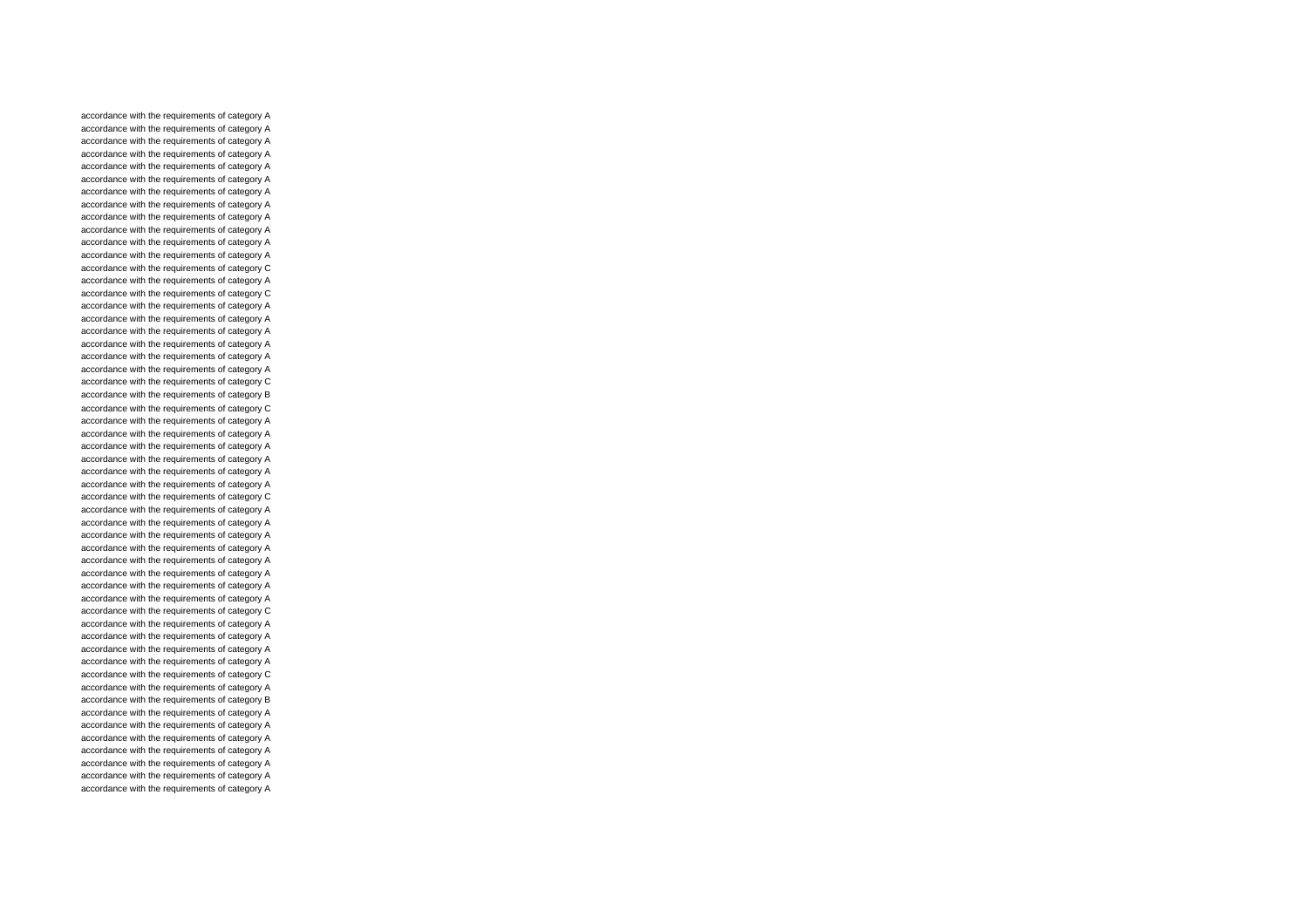accordance with the requirements of category A accordance with the requirements of category A accordance with the requirements of category A accordance with the requirements of category A accordance with the requirements of category A accordance with the requirements of category A accordance with the requirements of category A accordance with the requirements of category A accordance with the requirements of category A accordance with the requirements of category A accordance with the requirements of category A accordance with the requirements of category A accordance with the requirements of category C accordance with the requirements of category A accordance with the requirements of category C accordance with the requirements of category A accordance with the requirements of category A accordance with the requirements of category A accordance with the requirements of category A accordance with the requirements of category A accordance with the requirements of category A accordance with the requirements of category C accordance with the requirements of category B accordance with the requirements of category C accordance with the requirements of category A accordance with the requirements of category A accordance with the requirements of category A accordance with the requirements of category A accordance with the requirements of category A accordance with the requirements of category A accordance with the requirements of category C accordance with the requirements of category A accordance with the requirements of category A accordance with the requirements of category A accordance with the requirements of category A accordance with the requirements of category A accordance with the requirements of category A accordance with the requirements of category A accordance with the requirements of category A accordance with the requirements of category C accordance with the requirements of category A accordance with the requirements of category A accordance with the requirements of category A accordance with the requirements of category A accordance with the requirements of category C accordance with the requirements of category A accordance with the requirements of category B accordance with the requirements of category A accordance with the requirements of category A accordance with the requirements of category A accordance with the requirements of category A accordance with the requirements of category A accordance with the requirements of category A accordance with the requirements of category A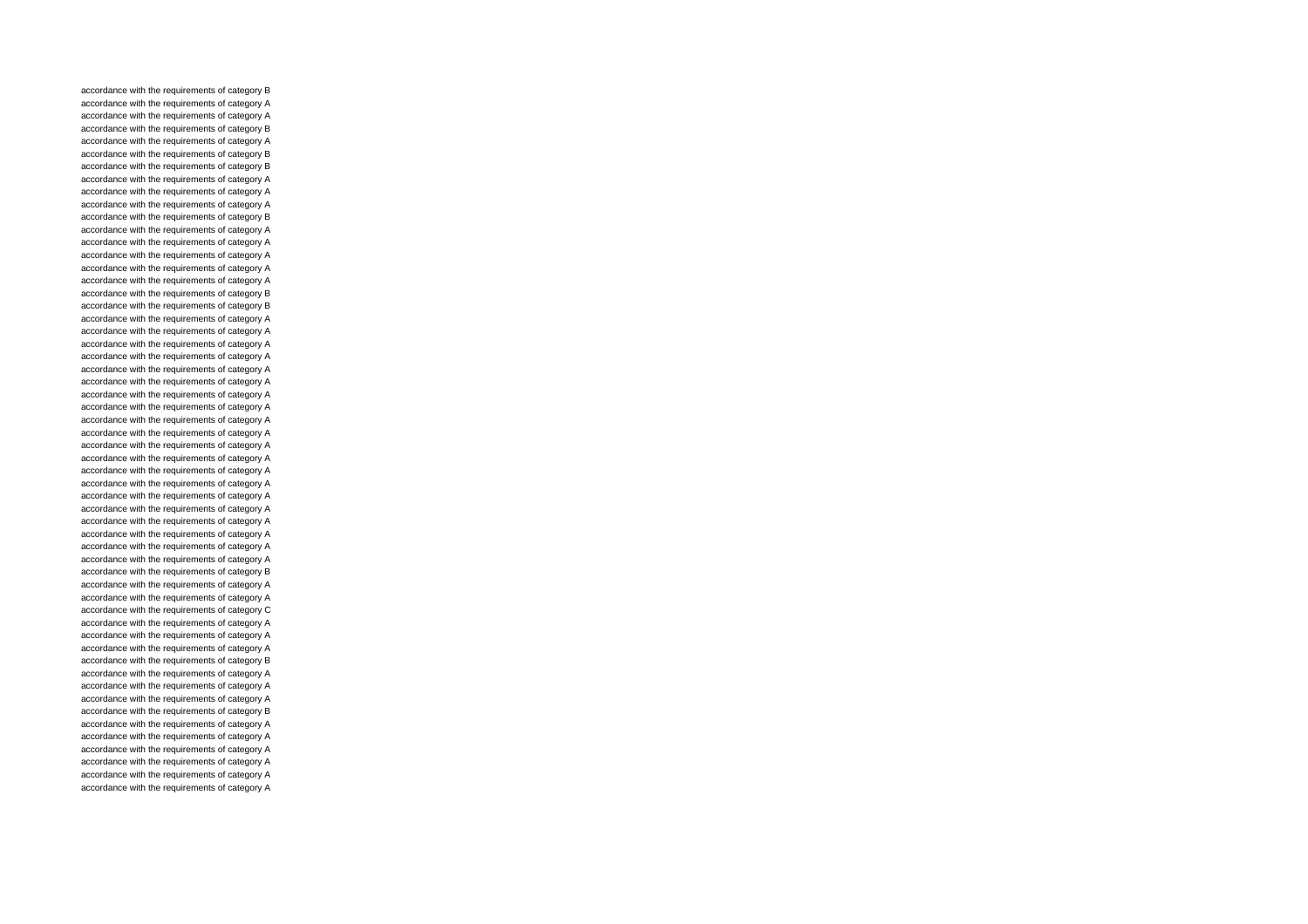accordance with the requirements of category B accordance with the requirements of category A accordance with the requirements of category A accordance with the requirements of category B accordance with the requirements of category A accordance with the requirements of category B accordance with the requirements of category B accordance with the requirements of category A accordance with the requirements of category A accordance with the requirements of category A accordance with the requirements of category B accordance with the requirements of category A accordance with the requirements of category A accordance with the requirements of category A accordance with the requirements of category A accordance with the requirements of category A accordance with the requirements of category B accordance with the requirements of category B accordance with the requirements of category A accordance with the requirements of category A accordance with the requirements of category A accordance with the requirements of category A accordance with the requirements of category A accordance with the requirements of category A accordance with the requirements of category A accordance with the requirements of category A accordance with the requirements of category A accordance with the requirements of category A accordance with the requirements of category A accordance with the requirements of category A accordance with the requirements of category A accordance with the requirements of category A accordance with the requirements of category A accordance with the requirements of category A accordance with the requirements of category A accordance with the requirements of category A accordance with the requirements of category A accordance with the requirements of category A accordance with the requirements of category B accordance with the requirements of category A accordance with the requirements of category A accordance with the requirements of category C accordance with the requirements of category A accordance with the requirements of category A accordance with the requirements of category A accordance with the requirements of category B accordance with the requirements of category A accordance with the requirements of category A accordance with the requirements of category A accordance with the requirements of category B accordance with the requirements of category A accordance with the requirements of category A accordance with the requirements of category A accordance with the requirements of category A accordance with the requirements of category A accordance with the requirements of category A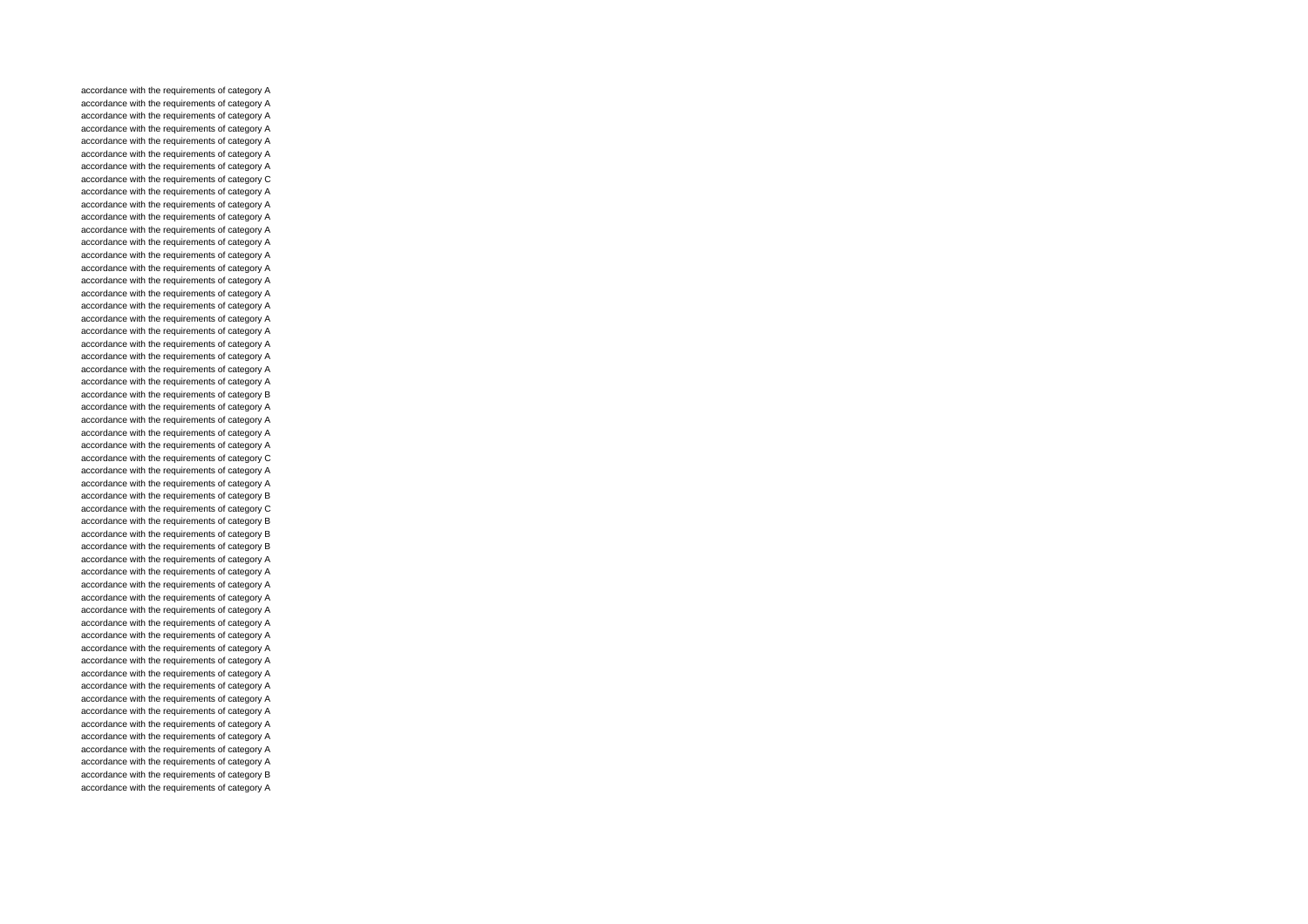accordance with the requirements of category A accordance with the requirements of category A accordance with the requirements of category A accordance with the requirements of category A accordance with the requirements of category A accordance with the requirements of category A accordance with the requirements of category A accordance with the requirements of category C accordance with the requirements of category A accordance with the requirements of category A accordance with the requirements of category A accordance with the requirements of category A accordance with the requirements of category A accordance with the requirements of category A accordance with the requirements of category A accordance with the requirements of category A accordance with the requirements of category A accordance with the requirements of category A accordance with the requirements of category A accordance with the requirements of category A accordance with the requirements of category A accordance with the requirements of category A accordance with the requirements of category A accordance with the requirements of category A accordance with the requirements of category B accordance with the requirements of category A accordance with the requirements of category A accordance with the requirements of category A accordance with the requirements of category A accordance with the requirements of category C accordance with the requirements of category A accordance with the requirements of category A accordance with the requirements of category B accordance with the requirements of category C accordance with the requirements of category B accordance with the requirements of category B accordance with the requirements of category B accordance with the requirements of category A accordance with the requirements of category A accordance with the requirements of category A accordance with the requirements of category A accordance with the requirements of category A accordance with the requirements of category A accordance with the requirements of category A accordance with the requirements of category A accordance with the requirements of category A accordance with the requirements of category A accordance with the requirements of category A accordance with the requirements of category A accordance with the requirements of category A accordance with the requirements of category A accordance with the requirements of category A accordance with the requirements of category A accordance with the requirements of category A accordance with the requirements of category B accordance with the requirements of category A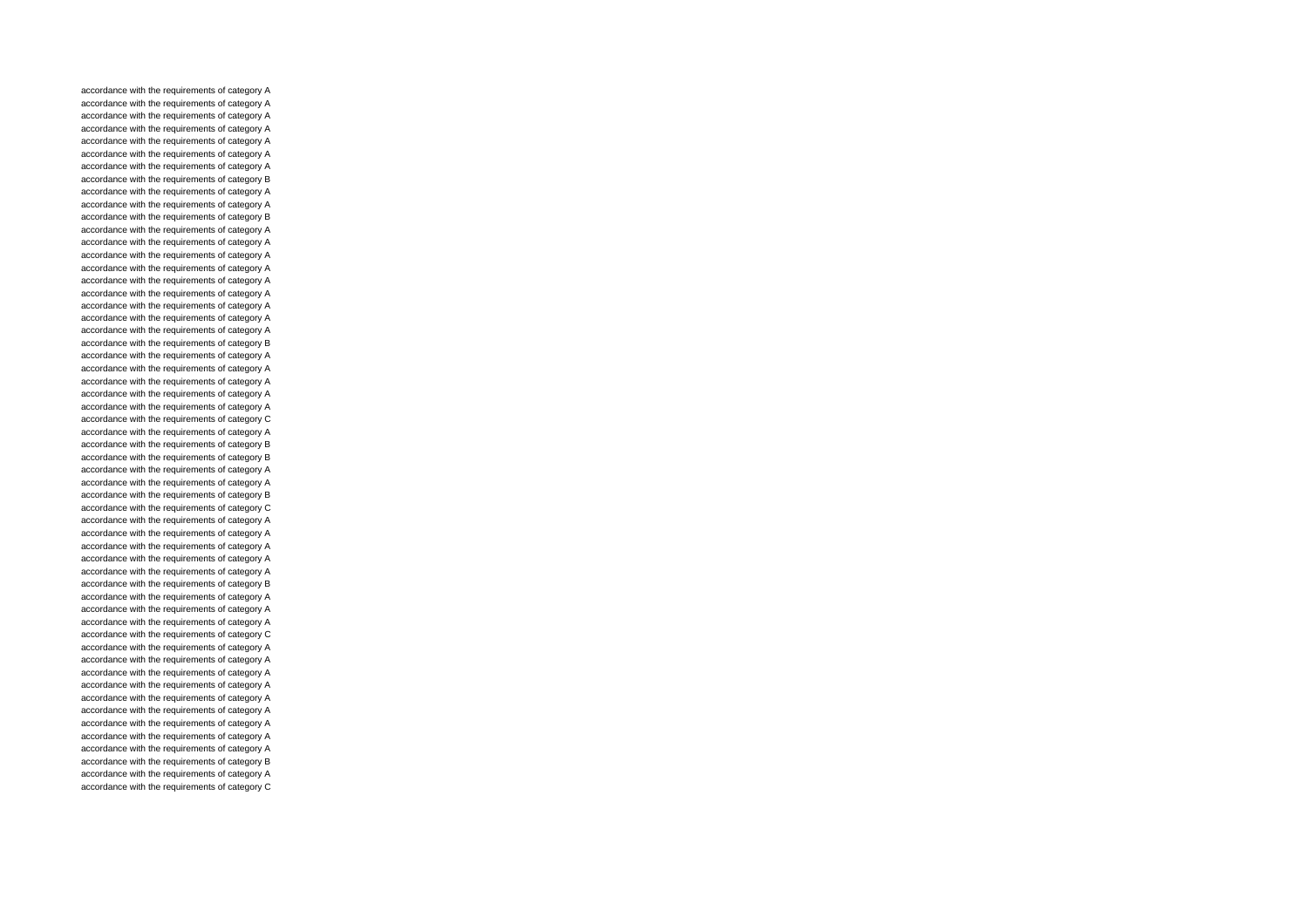accordance with the requirements of category A accordance with the requirements of category A accordance with the requirements of category A accordance with the requirements of category A accordance with the requirements of category A accordance with the requirements of category A accordance with the requirements of category A accordance with the requirements of category B accordance with the requirements of category A accordance with the requirements of category A accordance with the requirements of category B accordance with the requirements of category A accordance with the requirements of category A accordance with the requirements of category A accordance with the requirements of category A accordance with the requirements of category A accordance with the requirements of category A accordance with the requirements of category A accordance with the requirements of category A accordance with the requirements of category A accordance with the requirements of category B accordance with the requirements of category A accordance with the requirements of category A accordance with the requirements of category A accordance with the requirements of category A accordance with the requirements of category A accordance with the requirements of category C accordance with the requirements of category A accordance with the requirements of category B accordance with the requirements of category B accordance with the requirements of category A accordance with the requirements of category A accordance with the requirements of category B accordance with the requirements of category C accordance with the requirements of category A accordance with the requirements of category A accordance with the requirements of category A accordance with the requirements of category A accordance with the requirements of category A accordance with the requirements of category B accordance with the requirements of category A accordance with the requirements of category A accordance with the requirements of category A accordance with the requirements of category C accordance with the requirements of category A accordance with the requirements of category A accordance with the requirements of category A accordance with the requirements of category A accordance with the requirements of category A accordance with the requirements of category A accordance with the requirements of category A accordance with the requirements of category A accordance with the requirements of category A accordance with the requirements of category B accordance with the requirements of category A accordance with the requirements of category C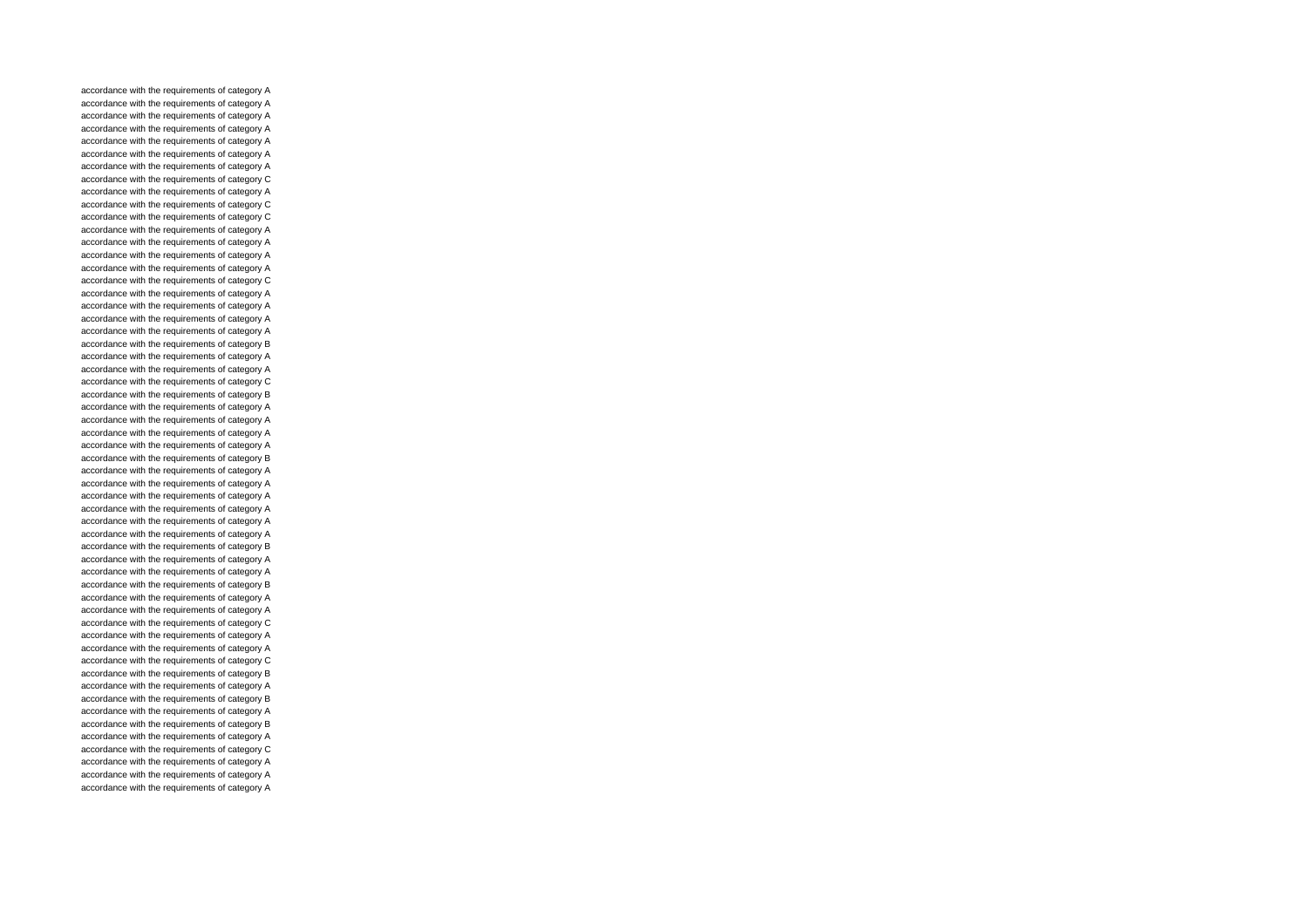accordance with the requirements of category A accordance with the requirements of category A accordance with the requirements of category A accordance with the requirements of category A accordance with the requirements of category A accordance with the requirements of category A accordance with the requirements of category A accordance with the requirements of category C accordance with the requirements of category A accordance with the requirements of category C accordance with the requirements of category C accordance with the requirements of category A accordance with the requirements of category A accordance with the requirements of category A accordance with the requirements of category A accordance with the requirements of category C accordance with the requirements of category A accordance with the requirements of category A accordance with the requirements of category A accordance with the requirements of category A accordance with the requirements of category B accordance with the requirements of category A accordance with the requirements of category A accordance with the requirements of category C accordance with the requirements of category B accordance with the requirements of category A accordance with the requirements of category A accordance with the requirements of category A accordance with the requirements of category A accordance with the requirements of category B accordance with the requirements of category A accordance with the requirements of category A accordance with the requirements of category A accordance with the requirements of category A accordance with the requirements of category A accordance with the requirements of category A accordance with the requirements of category B accordance with the requirements of category A accordance with the requirements of category A accordance with the requirements of category B accordance with the requirements of category A accordance with the requirements of category A accordance with the requirements of category C accordance with the requirements of category A accordance with the requirements of category A accordance with the requirements of category C accordance with the requirements of category B accordance with the requirements of category A accordance with the requirements of category B accordance with the requirements of category A accordance with the requirements of category B accordance with the requirements of category A accordance with the requirements of category C accordance with the requirements of category A accordance with the requirements of category A accordance with the requirements of category A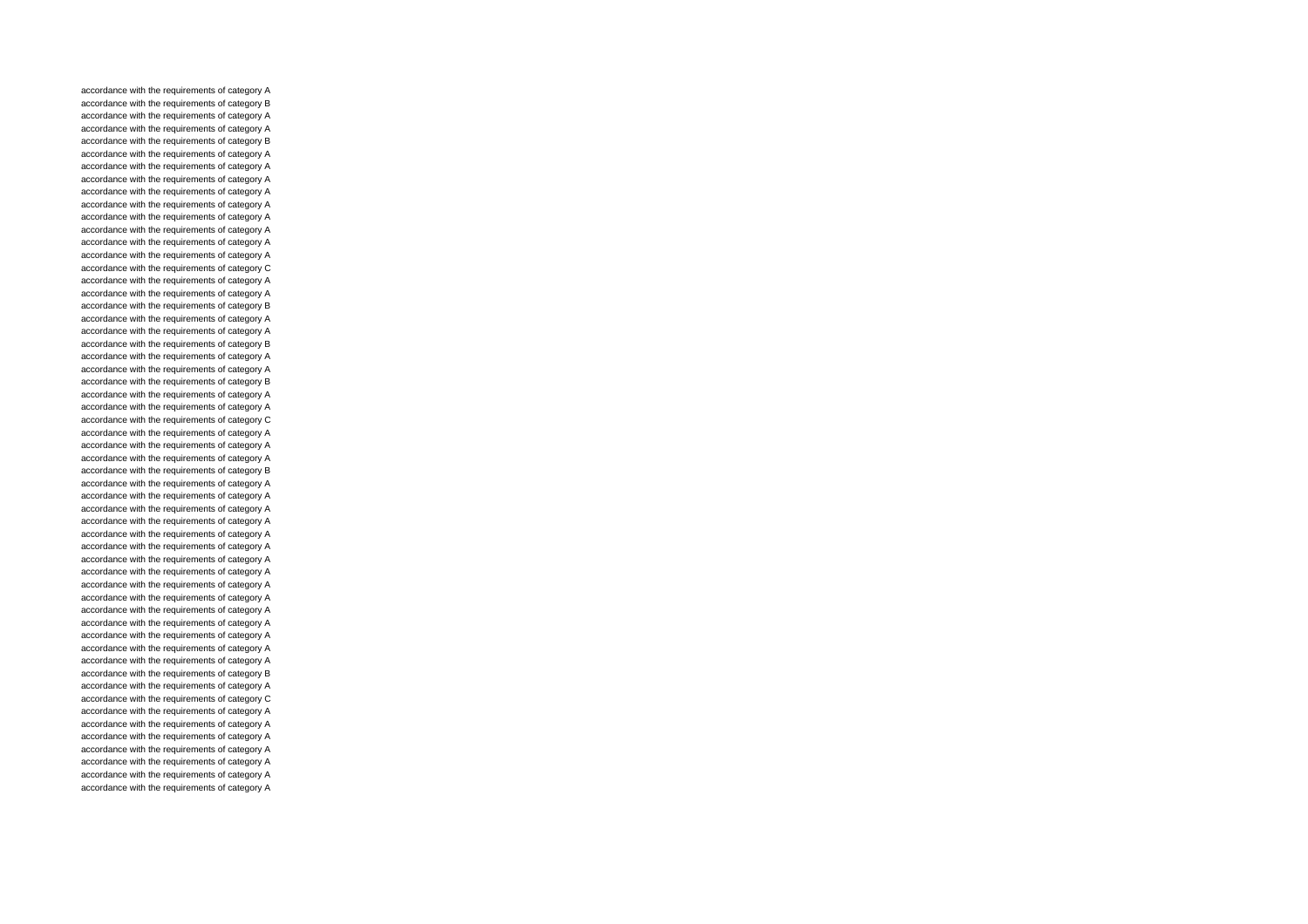accordance with the requirements of category A accordance with the requirements of category B accordance with the requirements of category A accordance with the requirements of category A accordance with the requirements of category B accordance with the requirements of category A accordance with the requirements of category A accordance with the requirements of category A accordance with the requirements of category A accordance with the requirements of category A accordance with the requirements of category A accordance with the requirements of category A accordance with the requirements of category A accordance with the requirements of category A accordance with the requirements of category C accordance with the requirements of category A accordance with the requirements of category A accordance with the requirements of category B accordance with the requirements of category A accordance with the requirements of category A accordance with the requirements of category B accordance with the requirements of category A accordance with the requirements of category A accordance with the requirements of category B accordance with the requirements of category A accordance with the requirements of category A accordance with the requirements of category C accordance with the requirements of category A accordance with the requirements of category A accordance with the requirements of category A accordance with the requirements of category B accordance with the requirements of category A accordance with the requirements of category A accordance with the requirements of category A accordance with the requirements of category A accordance with the requirements of category A accordance with the requirements of category A accordance with the requirements of category A accordance with the requirements of category A accordance with the requirements of category A accordance with the requirements of category A accordance with the requirements of category A accordance with the requirements of category A accordance with the requirements of category A accordance with the requirements of category A accordance with the requirements of category A accordance with the requirements of category B accordance with the requirements of category A accordance with the requirements of category C accordance with the requirements of category A accordance with the requirements of category A accordance with the requirements of category A accordance with the requirements of category A accordance with the requirements of category A accordance with the requirements of category A accordance with the requirements of category A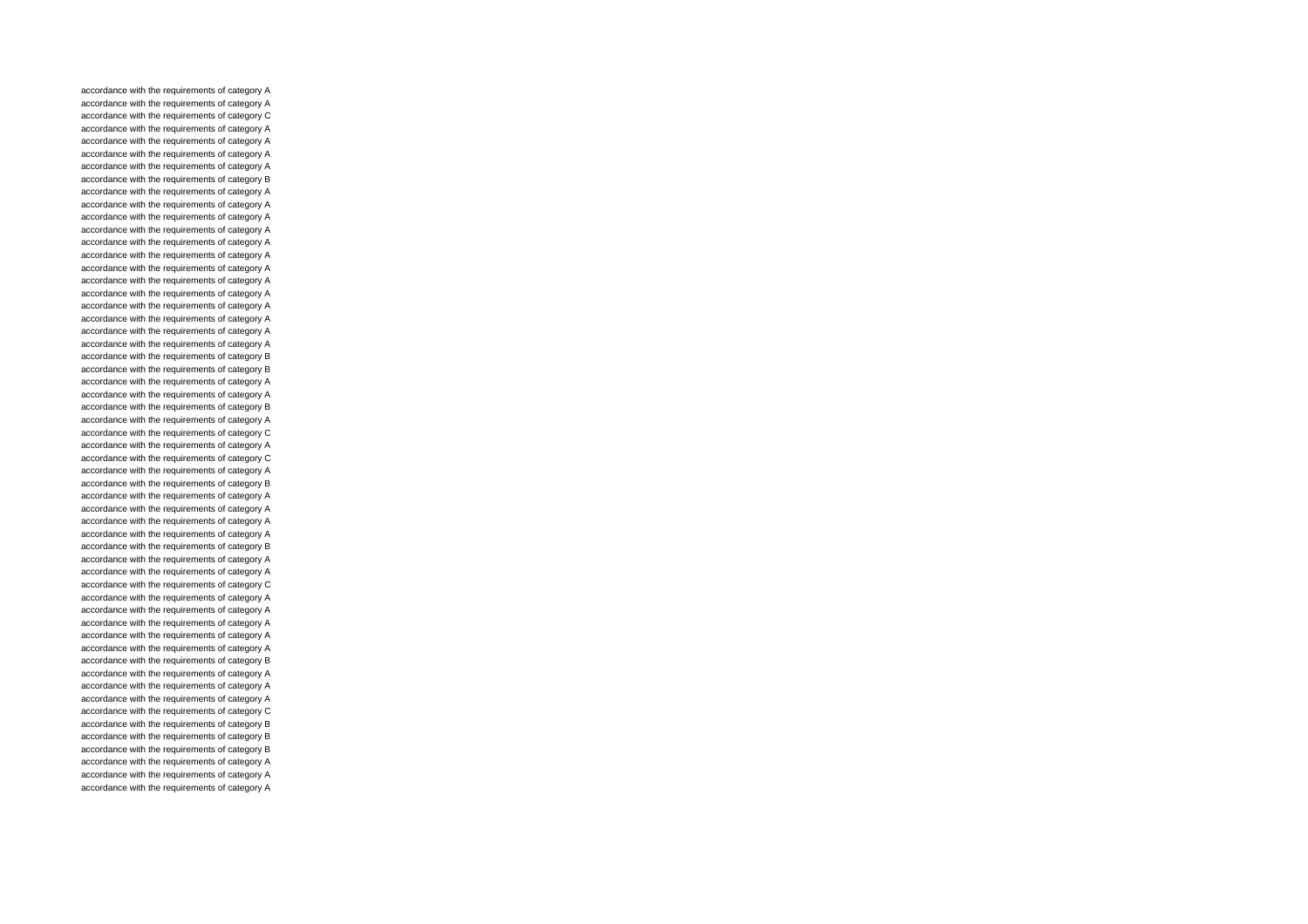accordance with the requirements of category A accordance with the requirements of category A accordance with the requirements of category C accordance with the requirements of category A accordance with the requirements of category A accordance with the requirements of category A accordance with the requirements of category A accordance with the requirements of category B accordance with the requirements of category A accordance with the requirements of category A accordance with the requirements of category A accordance with the requirements of category A accordance with the requirements of category A accordance with the requirements of category A accordance with the requirements of category A accordance with the requirements of category A accordance with the requirements of category A accordance with the requirements of category A accordance with the requirements of category A accordance with the requirements of category A accordance with the requirements of category A accordance with the requirements of category B accordance with the requirements of category B accordance with the requirements of category A accordance with the requirements of category A accordance with the requirements of category B accordance with the requirements of category A accordance with the requirements of category C accordance with the requirements of category A accordance with the requirements of category C accordance with the requirements of category A accordance with the requirements of category B accordance with the requirements of category A accordance with the requirements of category A accordance with the requirements of category A accordance with the requirements of category A accordance with the requirements of category B accordance with the requirements of category A accordance with the requirements of category A accordance with the requirements of category C accordance with the requirements of category A accordance with the requirements of category A accordance with the requirements of category A accordance with the requirements of category A accordance with the requirements of category A accordance with the requirements of category B accordance with the requirements of category A accordance with the requirements of category A accordance with the requirements of category A accordance with the requirements of category C accordance with the requirements of category B accordance with the requirements of category B accordance with the requirements of category B accordance with the requirements of category A accordance with the requirements of category A accordance with the requirements of category A